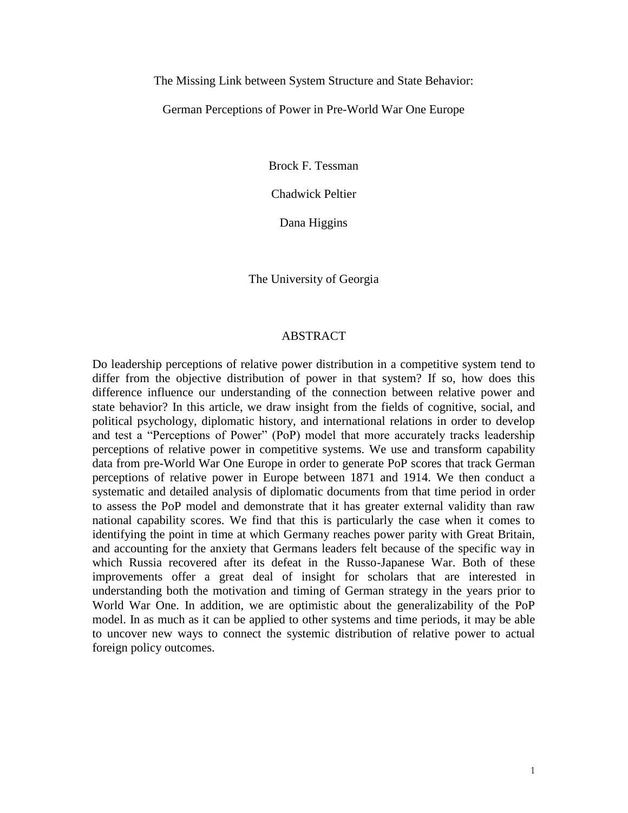The Missing Link between System Structure and State Behavior:

German Perceptions of Power in Pre-World War One Europe

Brock F. Tessman

Chadwick Peltier

Dana Higgins

The University of Georgia

#### ABSTRACT

Do leadership perceptions of relative power distribution in a competitive system tend to differ from the objective distribution of power in that system? If so, how does this difference influence our understanding of the connection between relative power and state behavior? In this article, we draw insight from the fields of cognitive, social, and political psychology, diplomatic history, and international relations in order to develop and test a "Perceptions of Power" (PoP) model that more accurately tracks leadership perceptions of relative power in competitive systems. We use and transform capability data from pre-World War One Europe in order to generate PoP scores that track German perceptions of relative power in Europe between 1871 and 1914. We then conduct a systematic and detailed analysis of diplomatic documents from that time period in order to assess the PoP model and demonstrate that it has greater external validity than raw national capability scores. We find that this is particularly the case when it comes to identifying the point in time at which Germany reaches power parity with Great Britain, and accounting for the anxiety that Germans leaders felt because of the specific way in which Russia recovered after its defeat in the Russo-Japanese War. Both of these improvements offer a great deal of insight for scholars that are interested in understanding both the motivation and timing of German strategy in the years prior to World War One. In addition, we are optimistic about the generalizability of the PoP model. In as much as it can be applied to other systems and time periods, it may be able to uncover new ways to connect the systemic distribution of relative power to actual foreign policy outcomes.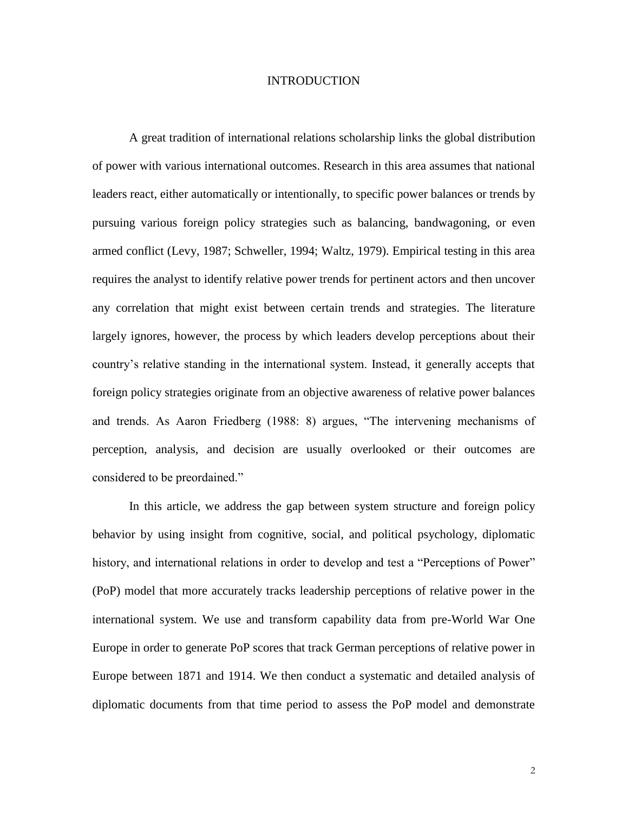### INTRODUCTION

A great tradition of international relations scholarship links the global distribution of power with various international outcomes. Research in this area assumes that national leaders react, either automatically or intentionally, to specific power balances or trends by pursuing various foreign policy strategies such as balancing, bandwagoning, or even armed conflict (Levy, 1987; Schweller, 1994; Waltz, 1979). Empirical testing in this area requires the analyst to identify relative power trends for pertinent actors and then uncover any correlation that might exist between certain trends and strategies. The literature largely ignores, however, the process by which leaders develop perceptions about their country's relative standing in the international system. Instead, it generally accepts that foreign policy strategies originate from an objective awareness of relative power balances and trends. As Aaron Friedberg (1988: 8) argues, "The intervening mechanisms of perception, analysis, and decision are usually overlooked or their outcomes are considered to be preordained."

In this article, we address the gap between system structure and foreign policy behavior by using insight from cognitive, social, and political psychology, diplomatic history, and international relations in order to develop and test a "Perceptions of Power" (PoP) model that more accurately tracks leadership perceptions of relative power in the international system. We use and transform capability data from pre-World War One Europe in order to generate PoP scores that track German perceptions of relative power in Europe between 1871 and 1914. We then conduct a systematic and detailed analysis of diplomatic documents from that time period to assess the PoP model and demonstrate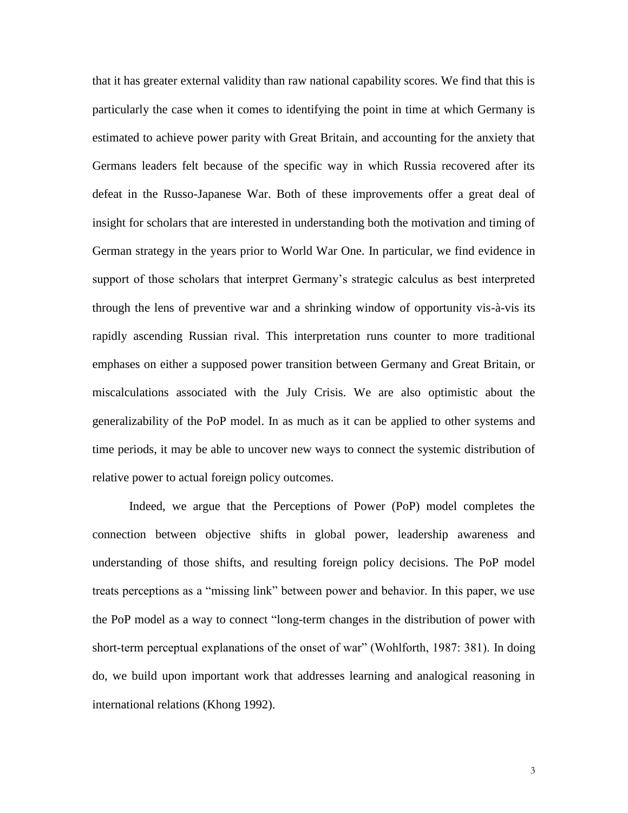that it has greater external validity than raw national capability scores. We find that this is particularly the case when it comes to identifying the point in time at which Germany is estimated to achieve power parity with Great Britain, and accounting for the anxiety that Germans leaders felt because of the specific way in which Russia recovered after its defeat in the Russo-Japanese War. Both of these improvements offer a great deal of insight for scholars that are interested in understanding both the motivation and timing of German strategy in the years prior to World War One. In particular, we find evidence in support of those scholars that interpret Germany's strategic calculus as best interpreted through the lens of preventive war and a shrinking window of opportunity vis-à-vis its rapidly ascending Russian rival. This interpretation runs counter to more traditional emphases on either a supposed power transition between Germany and Great Britain, or miscalculations associated with the July Crisis. We are also optimistic about the generalizability of the PoP model. In as much as it can be applied to other systems and time periods, it may be able to uncover new ways to connect the systemic distribution of relative power to actual foreign policy outcomes.

Indeed, we argue that the Perceptions of Power (PoP) model completes the connection between objective shifts in global power, leadership awareness and understanding of those shifts, and resulting foreign policy decisions. The PoP model treats perceptions as a "missing link" between power and behavior. In this paper, we use the PoP model as a way to connect "long-term changes in the distribution of power with short-term perceptual explanations of the onset of war" (Wohlforth, 1987: 381). In doing do, we build upon important work that addresses learning and analogical reasoning in international relations (Khong 1992).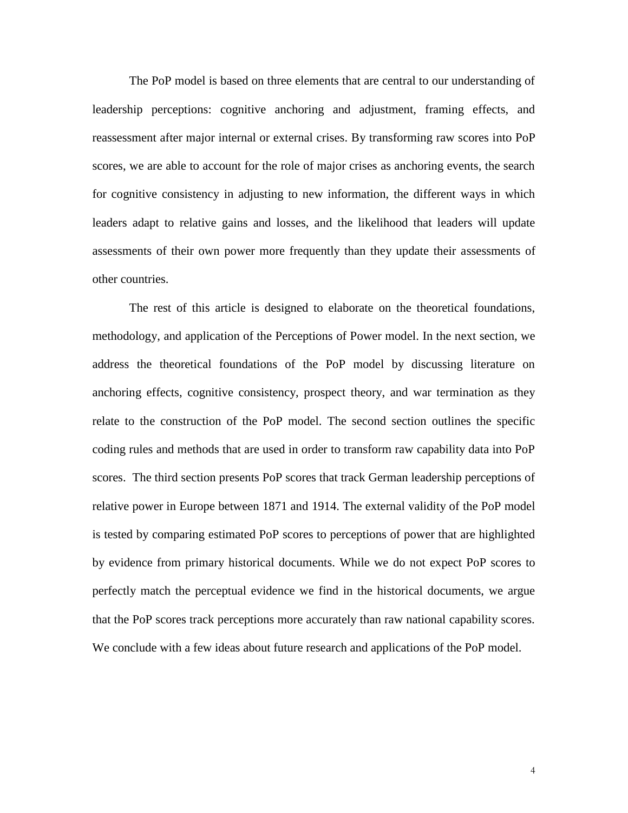The PoP model is based on three elements that are central to our understanding of leadership perceptions: cognitive anchoring and adjustment, framing effects, and reassessment after major internal or external crises. By transforming raw scores into PoP scores, we are able to account for the role of major crises as anchoring events, the search for cognitive consistency in adjusting to new information, the different ways in which leaders adapt to relative gains and losses, and the likelihood that leaders will update assessments of their own power more frequently than they update their assessments of other countries.

The rest of this article is designed to elaborate on the theoretical foundations, methodology, and application of the Perceptions of Power model. In the next section, we address the theoretical foundations of the PoP model by discussing literature on anchoring effects, cognitive consistency, prospect theory, and war termination as they relate to the construction of the PoP model. The second section outlines the specific coding rules and methods that are used in order to transform raw capability data into PoP scores. The third section presents PoP scores that track German leadership perceptions of relative power in Europe between 1871 and 1914. The external validity of the PoP model is tested by comparing estimated PoP scores to perceptions of power that are highlighted by evidence from primary historical documents. While we do not expect PoP scores to perfectly match the perceptual evidence we find in the historical documents, we argue that the PoP scores track perceptions more accurately than raw national capability scores. We conclude with a few ideas about future research and applications of the PoP model.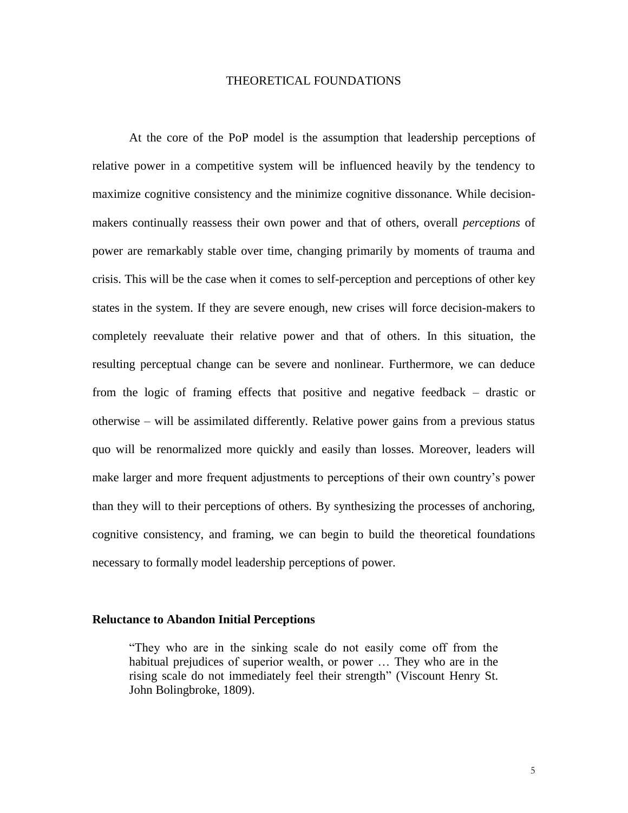# THEORETICAL FOUNDATIONS

At the core of the PoP model is the assumption that leadership perceptions of relative power in a competitive system will be influenced heavily by the tendency to maximize cognitive consistency and the minimize cognitive dissonance. While decisionmakers continually reassess their own power and that of others, overall *perceptions* of power are remarkably stable over time, changing primarily by moments of trauma and crisis. This will be the case when it comes to self-perception and perceptions of other key states in the system. If they are severe enough, new crises will force decision-makers to completely reevaluate their relative power and that of others. In this situation, the resulting perceptual change can be severe and nonlinear. Furthermore, we can deduce from the logic of framing effects that positive and negative feedback – drastic or otherwise – will be assimilated differently. Relative power gains from a previous status quo will be renormalized more quickly and easily than losses. Moreover, leaders will make larger and more frequent adjustments to perceptions of their own country's power than they will to their perceptions of others. By synthesizing the processes of anchoring, cognitive consistency, and framing, we can begin to build the theoretical foundations necessary to formally model leadership perceptions of power.

#### **Reluctance to Abandon Initial Perceptions**

"They who are in the sinking scale do not easily come off from the habitual prejudices of superior wealth, or power … They who are in the rising scale do not immediately feel their strength" (Viscount Henry St. John Bolingbroke, 1809).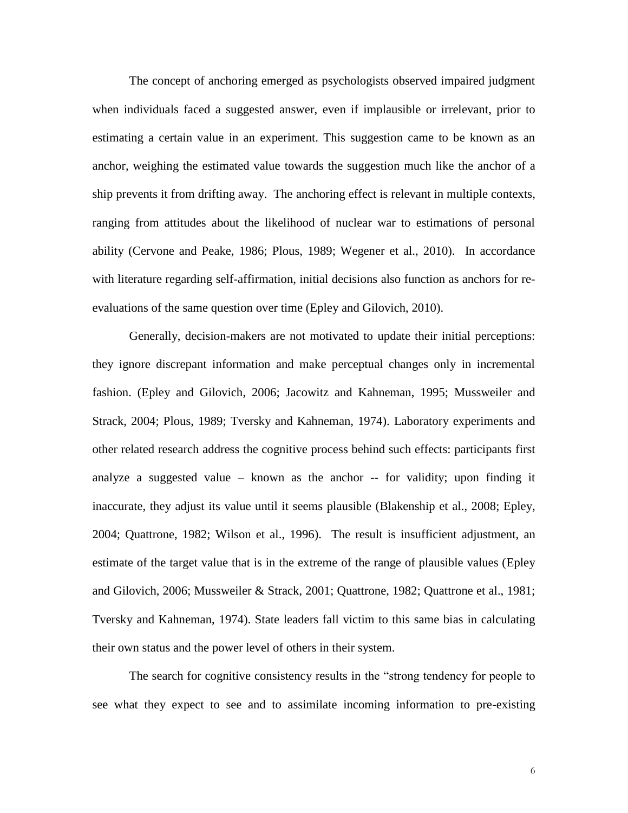The concept of anchoring emerged as psychologists observed impaired judgment when individuals faced a suggested answer, even if implausible or irrelevant, prior to estimating a certain value in an experiment. This suggestion came to be known as an anchor, weighing the estimated value towards the suggestion much like the anchor of a ship prevents it from drifting away. The anchoring effect is relevant in multiple contexts, ranging from attitudes about the likelihood of nuclear war to estimations of personal ability (Cervone and Peake, 1986; Plous, 1989; Wegener et al., 2010). In accordance with literature regarding self-affirmation, initial decisions also function as anchors for reevaluations of the same question over time (Epley and Gilovich, 2010).

Generally, decision-makers are not motivated to update their initial perceptions: they ignore discrepant information and make perceptual changes only in incremental fashion. (Epley and Gilovich, 2006; Jacowitz and Kahneman, 1995; Mussweiler and Strack, 2004; Plous, 1989; Tversky and Kahneman, 1974). Laboratory experiments and other related research address the cognitive process behind such effects: participants first analyze a suggested value – known as the anchor -- for validity; upon finding it inaccurate, they adjust its value until it seems plausible (Blakenship et al., 2008; Epley, 2004; Quattrone, 1982; Wilson et al., 1996). The result is insufficient adjustment, an estimate of the target value that is in the extreme of the range of plausible values (Epley and Gilovich, 2006; Mussweiler & Strack, 2001; Quattrone, 1982; Quattrone et al., 1981; Tversky and Kahneman, 1974). State leaders fall victim to this same bias in calculating their own status and the power level of others in their system.

The search for cognitive consistency results in the "strong tendency for people to see what they expect to see and to assimilate incoming information to pre-existing

6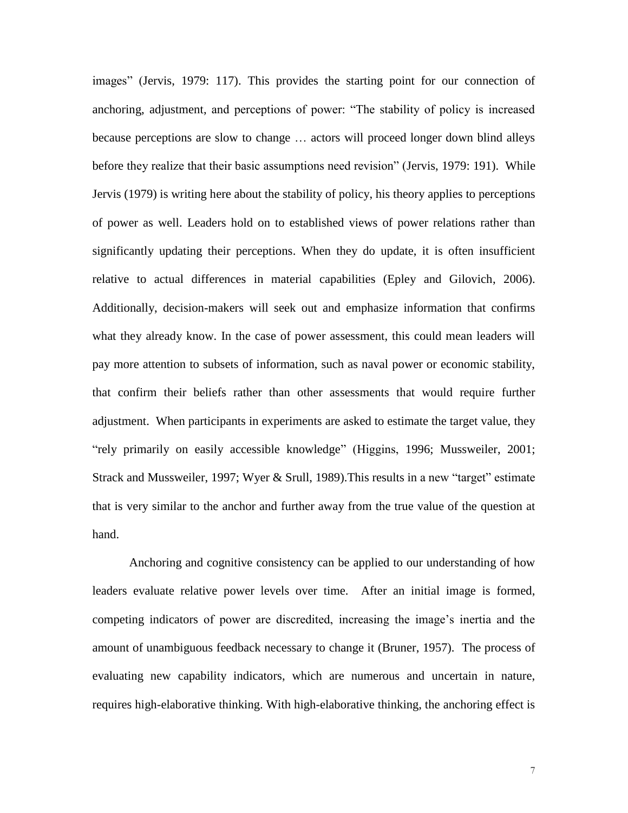images" (Jervis, 1979: 117). This provides the starting point for our connection of anchoring, adjustment, and perceptions of power: "The stability of policy is increased because perceptions are slow to change … actors will proceed longer down blind alleys before they realize that their basic assumptions need revision" (Jervis, 1979: 191). While Jervis (1979) is writing here about the stability of policy, his theory applies to perceptions of power as well. Leaders hold on to established views of power relations rather than significantly updating their perceptions. When they do update, it is often insufficient relative to actual differences in material capabilities (Epley and Gilovich, 2006). Additionally, decision-makers will seek out and emphasize information that confirms what they already know. In the case of power assessment, this could mean leaders will pay more attention to subsets of information, such as naval power or economic stability, that confirm their beliefs rather than other assessments that would require further adjustment. When participants in experiments are asked to estimate the target value, they "rely primarily on easily accessible knowledge" (Higgins, 1996; Mussweiler, 2001; Strack and Mussweiler, 1997; Wyer & Srull, 1989).This results in a new "target" estimate that is very similar to the anchor and further away from the true value of the question at hand.

Anchoring and cognitive consistency can be applied to our understanding of how leaders evaluate relative power levels over time. After an initial image is formed, competing indicators of power are discredited, increasing the image's inertia and the amount of unambiguous feedback necessary to change it (Bruner, 1957). The process of evaluating new capability indicators, which are numerous and uncertain in nature, requires high-elaborative thinking. With high-elaborative thinking, the anchoring effect is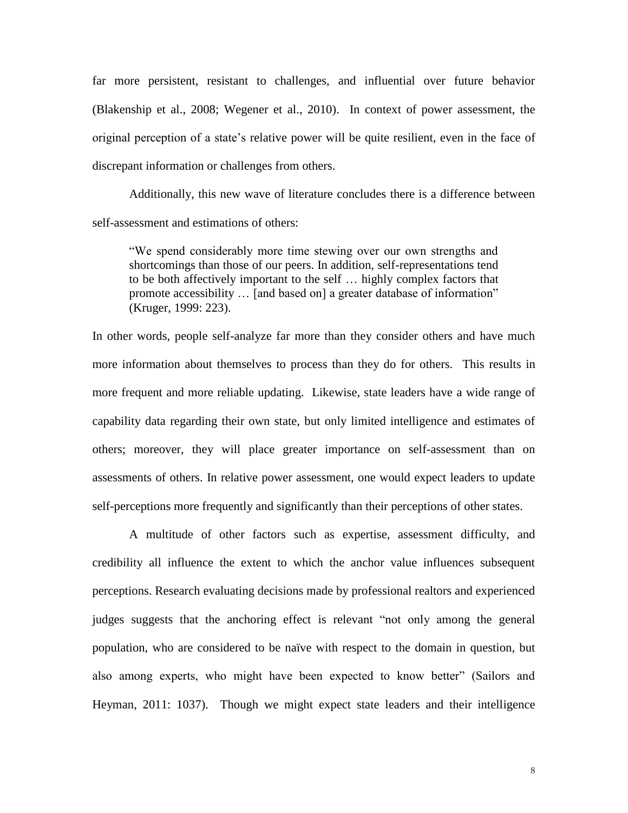far more persistent, resistant to challenges, and influential over future behavior (Blakenship et al., 2008; Wegener et al., 2010). In context of power assessment, the original perception of a state's relative power will be quite resilient, even in the face of discrepant information or challenges from others.

Additionally, this new wave of literature concludes there is a difference between self-assessment and estimations of others:

"We spend considerably more time stewing over our own strengths and shortcomings than those of our peers. In addition, self-representations tend to be both affectively important to the self … highly complex factors that promote accessibility … [and based on] a greater database of information" (Kruger, 1999: 223).

In other words, people self-analyze far more than they consider others and have much more information about themselves to process than they do for others. This results in more frequent and more reliable updating. Likewise, state leaders have a wide range of capability data regarding their own state, but only limited intelligence and estimates of others; moreover, they will place greater importance on self-assessment than on assessments of others. In relative power assessment, one would expect leaders to update self-perceptions more frequently and significantly than their perceptions of other states.

A multitude of other factors such as expertise, assessment difficulty, and credibility all influence the extent to which the anchor value influences subsequent perceptions. Research evaluating decisions made by professional realtors and experienced judges suggests that the anchoring effect is relevant "not only among the general population, who are considered to be naïve with respect to the domain in question, but also among experts, who might have been expected to know better" (Sailors and Heyman, 2011: 1037). Though we might expect state leaders and their intelligence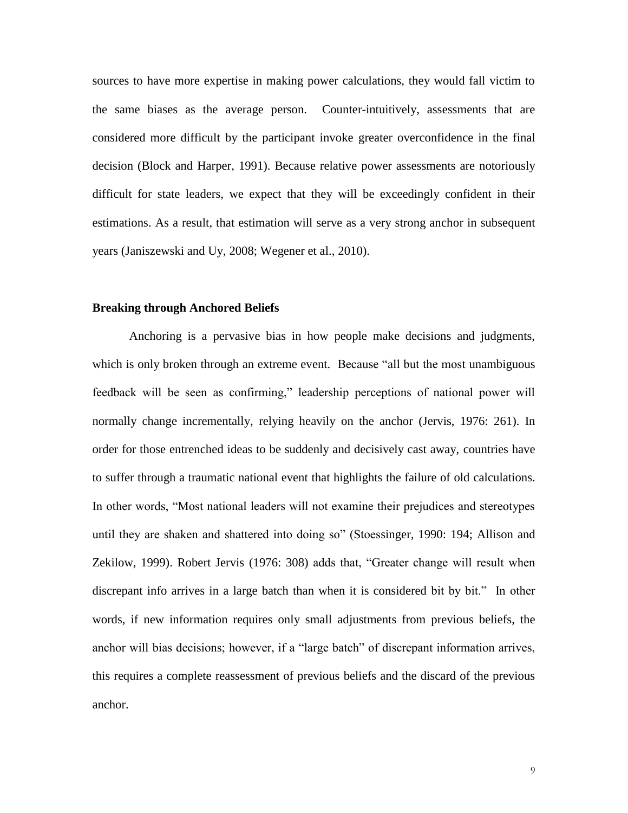sources to have more expertise in making power calculations, they would fall victim to the same biases as the average person. Counter-intuitively, assessments that are considered more difficult by the participant invoke greater overconfidence in the final decision (Block and Harper, 1991). Because relative power assessments are notoriously difficult for state leaders, we expect that they will be exceedingly confident in their estimations. As a result, that estimation will serve as a very strong anchor in subsequent years (Janiszewski and Uy, 2008; Wegener et al., 2010).

# **Breaking through Anchored Beliefs**

Anchoring is a pervasive bias in how people make decisions and judgments, which is only broken through an extreme event. Because "all but the most unambiguous feedback will be seen as confirming," leadership perceptions of national power will normally change incrementally, relying heavily on the anchor (Jervis, 1976: 261). In order for those entrenched ideas to be suddenly and decisively cast away, countries have to suffer through a traumatic national event that highlights the failure of old calculations. In other words, "Most national leaders will not examine their prejudices and stereotypes until they are shaken and shattered into doing so" (Stoessinger, 1990: 194; Allison and Zekilow, 1999). Robert Jervis (1976: 308) adds that, "Greater change will result when discrepant info arrives in a large batch than when it is considered bit by bit." In other words, if new information requires only small adjustments from previous beliefs, the anchor will bias decisions; however, if a "large batch" of discrepant information arrives, this requires a complete reassessment of previous beliefs and the discard of the previous anchor.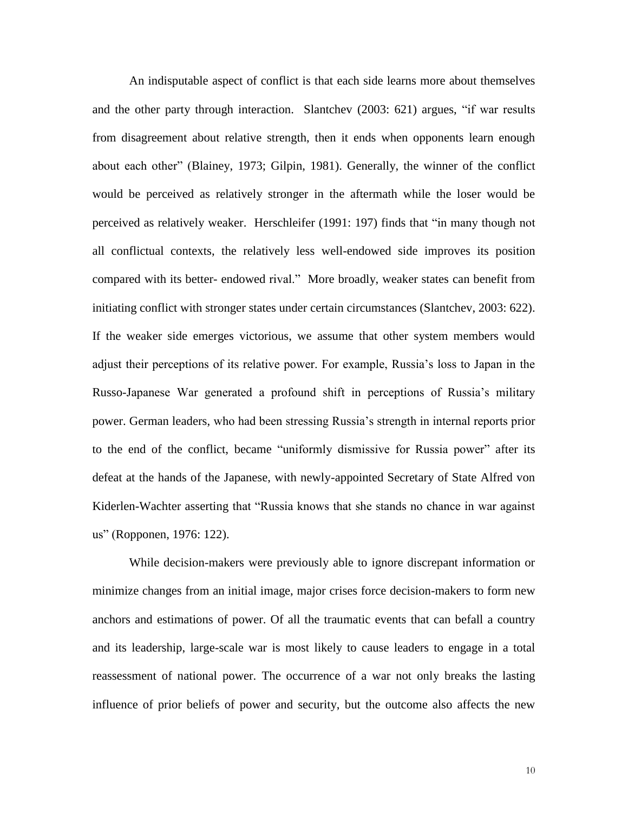An indisputable aspect of conflict is that each side learns more about themselves and the other party through interaction. Slantchev (2003: 621) argues, "if war results from disagreement about relative strength, then it ends when opponents learn enough about each other" (Blainey, 1973; Gilpin, 1981). Generally, the winner of the conflict would be perceived as relatively stronger in the aftermath while the loser would be perceived as relatively weaker. Herschleifer (1991: 197) finds that "in many though not all conflictual contexts, the relatively less well-endowed side improves its position compared with its better- endowed rival." More broadly, weaker states can benefit from initiating conflict with stronger states under certain circumstances (Slantchev, 2003: 622). If the weaker side emerges victorious, we assume that other system members would adjust their perceptions of its relative power. For example, Russia's loss to Japan in the Russo-Japanese War generated a profound shift in perceptions of Russia's military power. German leaders, who had been stressing Russia's strength in internal reports prior to the end of the conflict, became "uniformly dismissive for Russia power" after its defeat at the hands of the Japanese, with newly-appointed Secretary of State Alfred von Kiderlen-Wachter asserting that "Russia knows that she stands no chance in war against us" (Ropponen, 1976: 122).

While decision-makers were previously able to ignore discrepant information or minimize changes from an initial image, major crises force decision-makers to form new anchors and estimations of power. Of all the traumatic events that can befall a country and its leadership, large-scale war is most likely to cause leaders to engage in a total reassessment of national power. The occurrence of a war not only breaks the lasting influence of prior beliefs of power and security, but the outcome also affects the new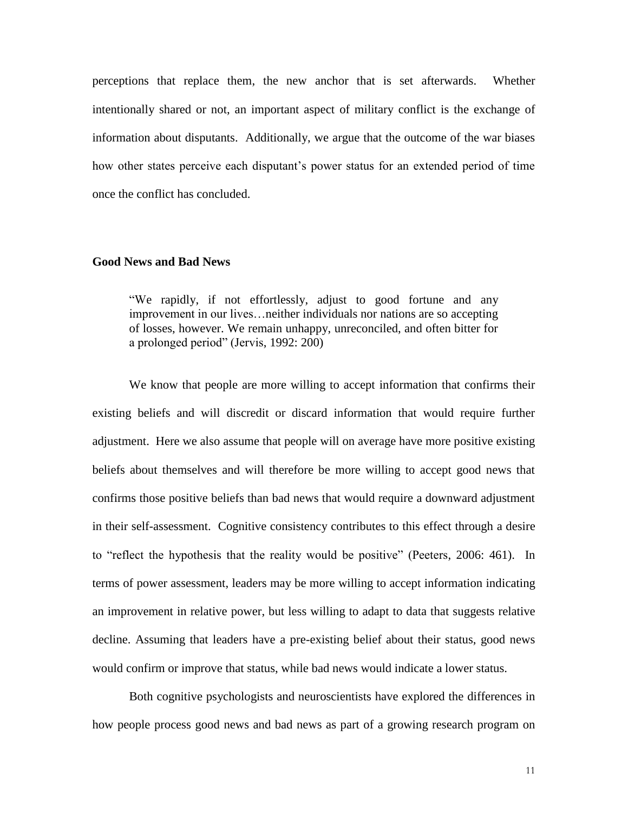perceptions that replace them, the new anchor that is set afterwards. Whether intentionally shared or not, an important aspect of military conflict is the exchange of information about disputants. Additionally, we argue that the outcome of the war biases how other states perceive each disputant's power status for an extended period of time once the conflict has concluded.

### **Good News and Bad News**

"We rapidly, if not effortlessly, adjust to good fortune and any improvement in our lives…neither individuals nor nations are so accepting of losses, however. We remain unhappy, unreconciled, and often bitter for a prolonged period" (Jervis, 1992: 200)

We know that people are more willing to accept information that confirms their existing beliefs and will discredit or discard information that would require further adjustment. Here we also assume that people will on average have more positive existing beliefs about themselves and will therefore be more willing to accept good news that confirms those positive beliefs than bad news that would require a downward adjustment in their self-assessment. Cognitive consistency contributes to this effect through a desire to "reflect the hypothesis that the reality would be positive" (Peeters, 2006: 461). In terms of power assessment, leaders may be more willing to accept information indicating an improvement in relative power, but less willing to adapt to data that suggests relative decline. Assuming that leaders have a pre-existing belief about their status, good news would confirm or improve that status, while bad news would indicate a lower status.

Both cognitive psychologists and neuroscientists have explored the differences in how people process good news and bad news as part of a growing research program on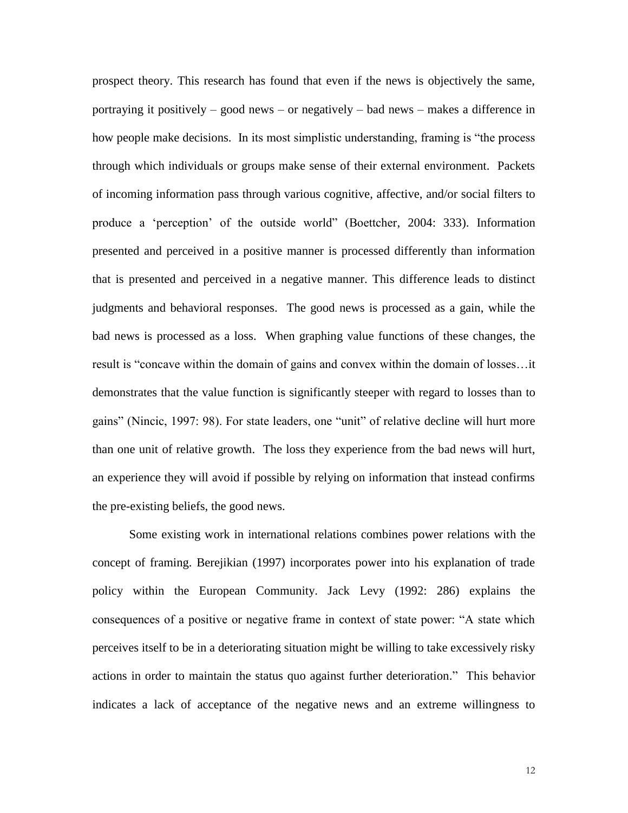prospect theory. This research has found that even if the news is objectively the same, portraying it positively – good news – or negatively – bad news – makes a difference in how people make decisions. In its most simplistic understanding, framing is "the process through which individuals or groups make sense of their external environment. Packets of incoming information pass through various cognitive, affective, and/or social filters to produce a 'perception' of the outside world" (Boettcher, 2004: 333). Information presented and perceived in a positive manner is processed differently than information that is presented and perceived in a negative manner. This difference leads to distinct judgments and behavioral responses. The good news is processed as a gain, while the bad news is processed as a loss. When graphing value functions of these changes, the result is "concave within the domain of gains and convex within the domain of losses…it demonstrates that the value function is significantly steeper with regard to losses than to gains" (Nincic, 1997: 98). For state leaders, one "unit" of relative decline will hurt more than one unit of relative growth. The loss they experience from the bad news will hurt, an experience they will avoid if possible by relying on information that instead confirms the pre-existing beliefs, the good news.

Some existing work in international relations combines power relations with the concept of framing. Berejikian (1997) incorporates power into his explanation of trade policy within the European Community. Jack Levy (1992: 286) explains the consequences of a positive or negative frame in context of state power: "A state which perceives itself to be in a deteriorating situation might be willing to take excessively risky actions in order to maintain the status quo against further deterioration." This behavior indicates a lack of acceptance of the negative news and an extreme willingness to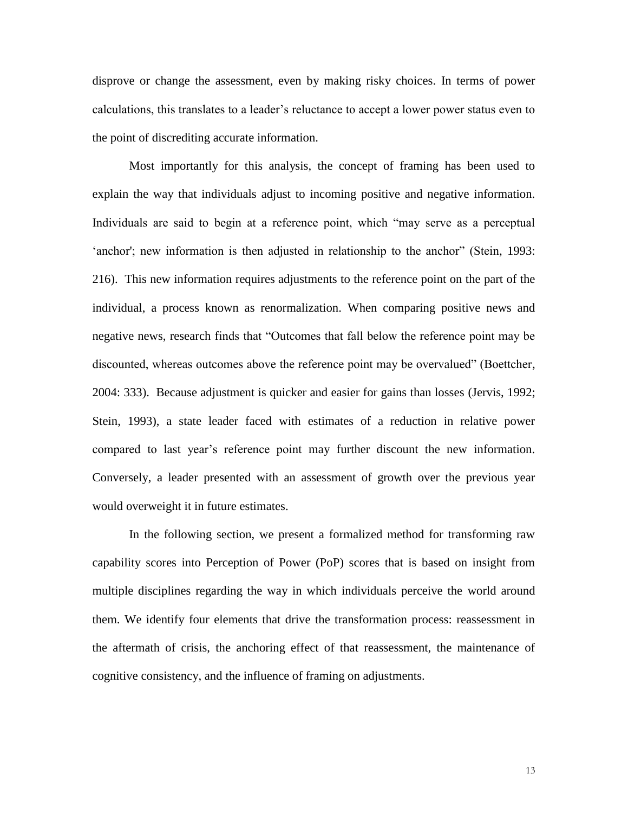disprove or change the assessment, even by making risky choices. In terms of power calculations, this translates to a leader's reluctance to accept a lower power status even to the point of discrediting accurate information.

Most importantly for this analysis, the concept of framing has been used to explain the way that individuals adjust to incoming positive and negative information. Individuals are said to begin at a reference point, which "may serve as a perceptual 'anchor'; new information is then adjusted in relationship to the anchor" (Stein, 1993: 216). This new information requires adjustments to the reference point on the part of the individual, a process known as renormalization. When comparing positive news and negative news, research finds that "Outcomes that fall below the reference point may be discounted, whereas outcomes above the reference point may be overvalued" (Boettcher, 2004: 333). Because adjustment is quicker and easier for gains than losses (Jervis, 1992; Stein, 1993), a state leader faced with estimates of a reduction in relative power compared to last year's reference point may further discount the new information. Conversely, a leader presented with an assessment of growth over the previous year would overweight it in future estimates.

In the following section, we present a formalized method for transforming raw capability scores into Perception of Power (PoP) scores that is based on insight from multiple disciplines regarding the way in which individuals perceive the world around them. We identify four elements that drive the transformation process: reassessment in the aftermath of crisis, the anchoring effect of that reassessment, the maintenance of cognitive consistency, and the influence of framing on adjustments.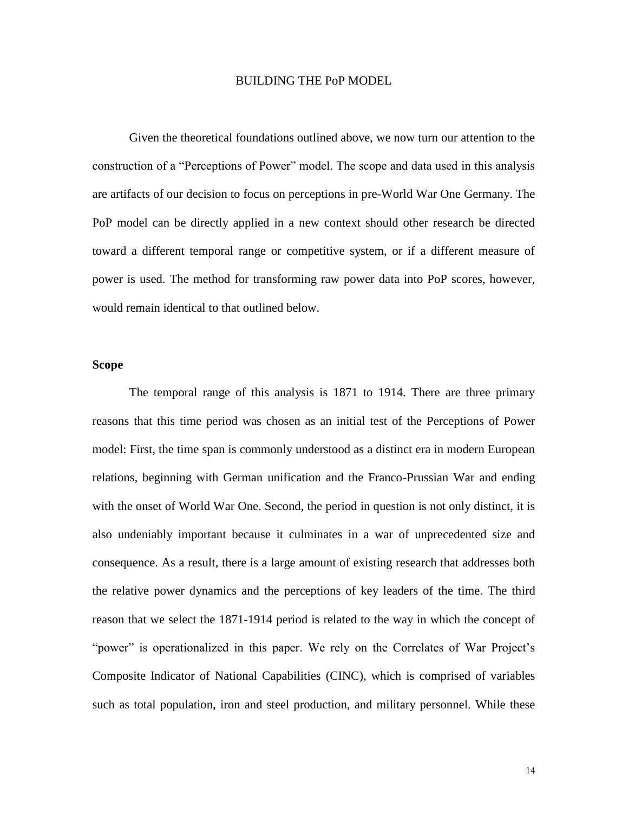### BUILDING THE PoP MODEL

Given the theoretical foundations outlined above, we now turn our attention to the construction of a "Perceptions of Power" model. The scope and data used in this analysis are artifacts of our decision to focus on perceptions in pre-World War One Germany. The PoP model can be directly applied in a new context should other research be directed toward a different temporal range or competitive system, or if a different measure of power is used. The method for transforming raw power data into PoP scores, however, would remain identical to that outlined below.

# **Scope**

The temporal range of this analysis is 1871 to 1914. There are three primary reasons that this time period was chosen as an initial test of the Perceptions of Power model: First, the time span is commonly understood as a distinct era in modern European relations, beginning with German unification and the Franco-Prussian War and ending with the onset of World War One. Second, the period in question is not only distinct, it is also undeniably important because it culminates in a war of unprecedented size and consequence. As a result, there is a large amount of existing research that addresses both the relative power dynamics and the perceptions of key leaders of the time. The third reason that we select the 1871-1914 period is related to the way in which the concept of "power" is operationalized in this paper. We rely on the Correlates of War Project's Composite Indicator of National Capabilities (CINC), which is comprised of variables such as total population, iron and steel production, and military personnel. While these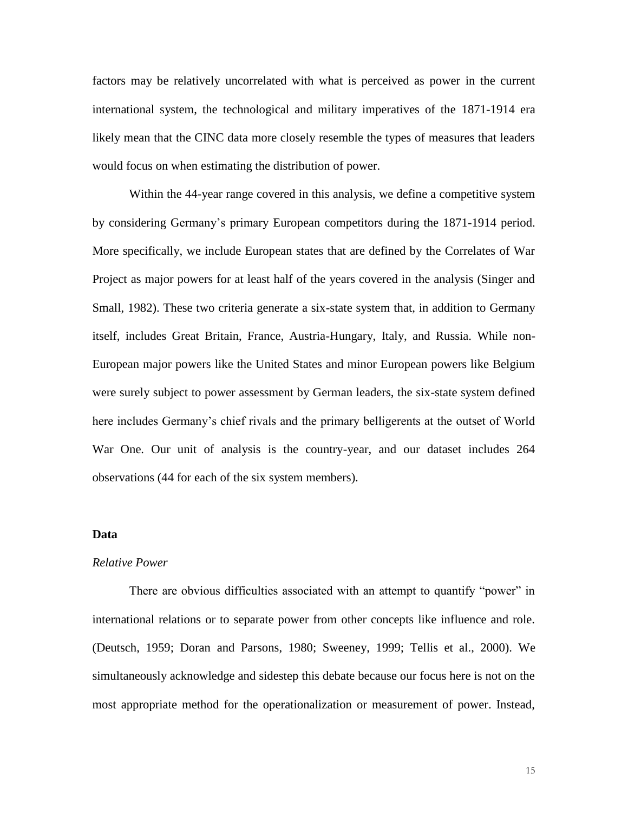factors may be relatively uncorrelated with what is perceived as power in the current international system, the technological and military imperatives of the 1871-1914 era likely mean that the CINC data more closely resemble the types of measures that leaders would focus on when estimating the distribution of power.

Within the 44-year range covered in this analysis, we define a competitive system by considering Germany's primary European competitors during the 1871-1914 period. More specifically, we include European states that are defined by the Correlates of War Project as major powers for at least half of the years covered in the analysis (Singer and Small, 1982). These two criteria generate a six-state system that, in addition to Germany itself, includes Great Britain, France, Austria-Hungary, Italy, and Russia. While non-European major powers like the United States and minor European powers like Belgium were surely subject to power assessment by German leaders, the six-state system defined here includes Germany's chief rivals and the primary belligerents at the outset of World War One. Our unit of analysis is the country-year, and our dataset includes 264 observations (44 for each of the six system members).

## **Data**

### *Relative Power*

There are obvious difficulties associated with an attempt to quantify "power" in international relations or to separate power from other concepts like influence and role. (Deutsch, 1959; Doran and Parsons, 1980; Sweeney, 1999; Tellis et al., 2000). We simultaneously acknowledge and sidestep this debate because our focus here is not on the most appropriate method for the operationalization or measurement of power. Instead,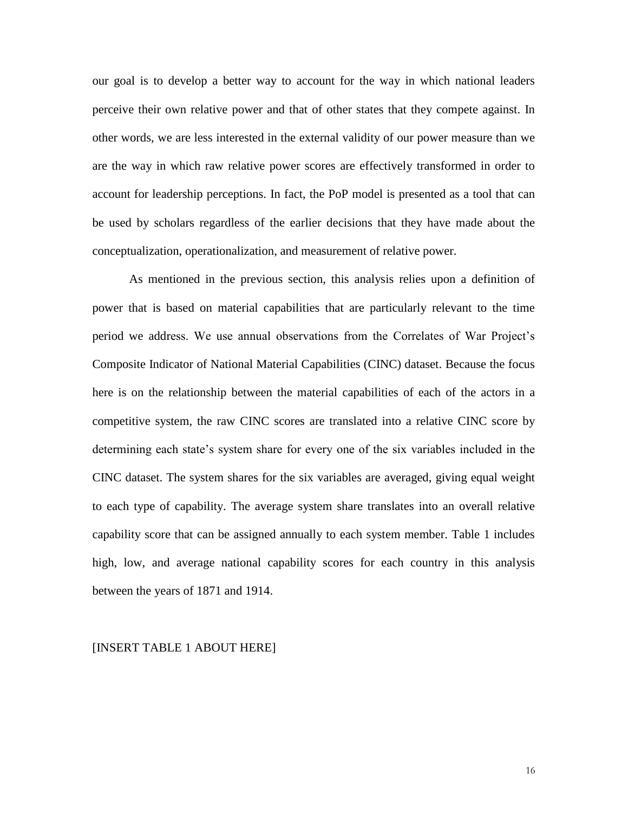our goal is to develop a better way to account for the way in which national leaders perceive their own relative power and that of other states that they compete against. In other words, we are less interested in the external validity of our power measure than we are the way in which raw relative power scores are effectively transformed in order to account for leadership perceptions. In fact, the PoP model is presented as a tool that can be used by scholars regardless of the earlier decisions that they have made about the conceptualization, operationalization, and measurement of relative power.

As mentioned in the previous section, this analysis relies upon a definition of power that is based on material capabilities that are particularly relevant to the time period we address. We use annual observations from the Correlates of War Project's Composite Indicator of National Material Capabilities (CINC) dataset. Because the focus here is on the relationship between the material capabilities of each of the actors in a competitive system, the raw CINC scores are translated into a relative CINC score by determining each state's system share for every one of the six variables included in the CINC dataset. The system shares for the six variables are averaged, giving equal weight to each type of capability. The average system share translates into an overall relative capability score that can be assigned annually to each system member. Table 1 includes high, low, and average national capability scores for each country in this analysis between the years of 1871 and 1914.

#### [INSERT TABLE 1 ABOUT HERE]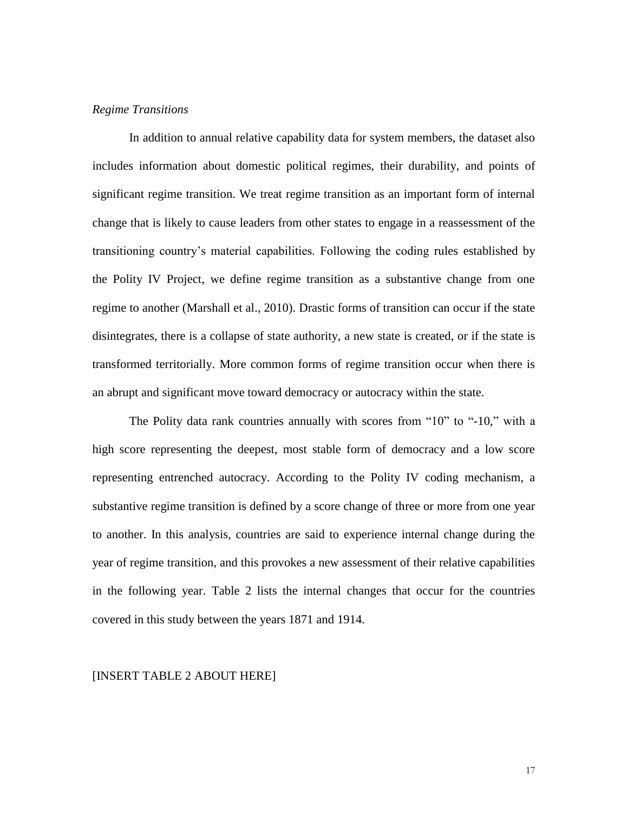# *Regime Transitions*

In addition to annual relative capability data for system members, the dataset also includes information about domestic political regimes, their durability, and points of significant regime transition. We treat regime transition as an important form of internal change that is likely to cause leaders from other states to engage in a reassessment of the transitioning country's material capabilities. Following the coding rules established by the Polity IV Project, we define regime transition as a substantive change from one regime to another (Marshall et al., 2010). Drastic forms of transition can occur if the state disintegrates, there is a collapse of state authority, a new state is created, or if the state is transformed territorially. More common forms of regime transition occur when there is an abrupt and significant move toward democracy or autocracy within the state.

The Polity data rank countries annually with scores from "10" to "-10," with a high score representing the deepest, most stable form of democracy and a low score representing entrenched autocracy. According to the Polity IV coding mechanism, a substantive regime transition is defined by a score change of three or more from one year to another. In this analysis, countries are said to experience internal change during the year of regime transition, and this provokes a new assessment of their relative capabilities in the following year. Table 2 lists the internal changes that occur for the countries covered in this study between the years 1871 and 1914.

#### [INSERT TABLE 2 ABOUT HERE]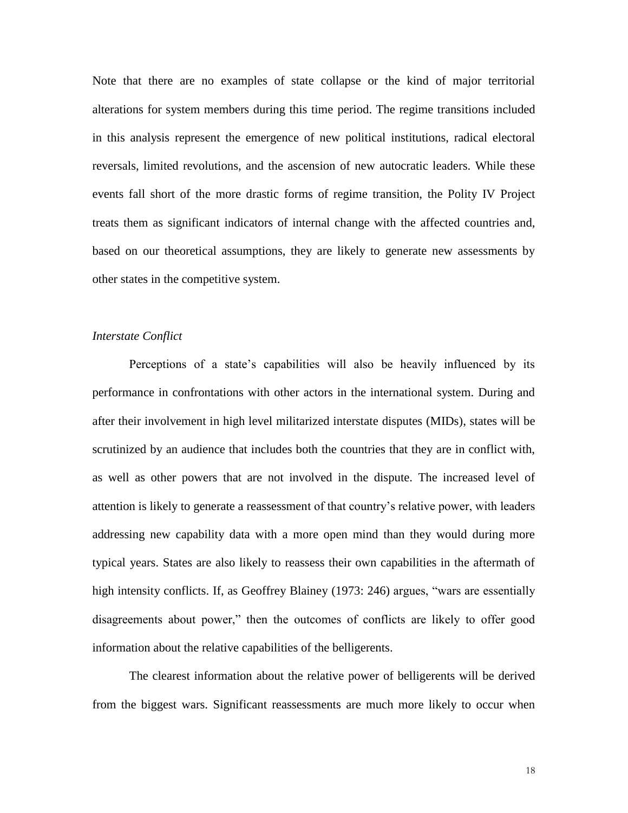Note that there are no examples of state collapse or the kind of major territorial alterations for system members during this time period. The regime transitions included in this analysis represent the emergence of new political institutions, radical electoral reversals, limited revolutions, and the ascension of new autocratic leaders. While these events fall short of the more drastic forms of regime transition, the Polity IV Project treats them as significant indicators of internal change with the affected countries and, based on our theoretical assumptions, they are likely to generate new assessments by other states in the competitive system.

# *Interstate Conflict*

Perceptions of a state's capabilities will also be heavily influenced by its performance in confrontations with other actors in the international system. During and after their involvement in high level militarized interstate disputes (MIDs), states will be scrutinized by an audience that includes both the countries that they are in conflict with, as well as other powers that are not involved in the dispute. The increased level of attention is likely to generate a reassessment of that country's relative power, with leaders addressing new capability data with a more open mind than they would during more typical years. States are also likely to reassess their own capabilities in the aftermath of high intensity conflicts. If, as Geoffrey Blainey (1973: 246) argues, "wars are essentially disagreements about power," then the outcomes of conflicts are likely to offer good information about the relative capabilities of the belligerents.

The clearest information about the relative power of belligerents will be derived from the biggest wars. Significant reassessments are much more likely to occur when

18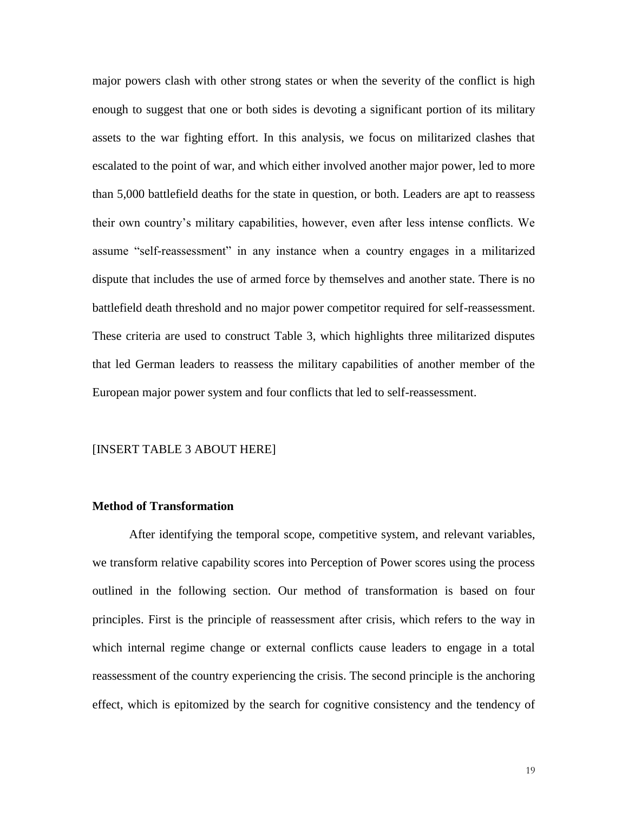major powers clash with other strong states or when the severity of the conflict is high enough to suggest that one or both sides is devoting a significant portion of its military assets to the war fighting effort. In this analysis, we focus on militarized clashes that escalated to the point of war, and which either involved another major power, led to more than 5,000 battlefield deaths for the state in question, or both. Leaders are apt to reassess their own country's military capabilities, however, even after less intense conflicts. We assume "self-reassessment" in any instance when a country engages in a militarized dispute that includes the use of armed force by themselves and another state. There is no battlefield death threshold and no major power competitor required for self-reassessment. These criteria are used to construct Table 3, which highlights three militarized disputes that led German leaders to reassess the military capabilities of another member of the European major power system and four conflicts that led to self-reassessment.

#### [INSERT TABLE 3 ABOUT HERE]

# **Method of Transformation**

After identifying the temporal scope, competitive system, and relevant variables, we transform relative capability scores into Perception of Power scores using the process outlined in the following section. Our method of transformation is based on four principles. First is the principle of reassessment after crisis, which refers to the way in which internal regime change or external conflicts cause leaders to engage in a total reassessment of the country experiencing the crisis. The second principle is the anchoring effect, which is epitomized by the search for cognitive consistency and the tendency of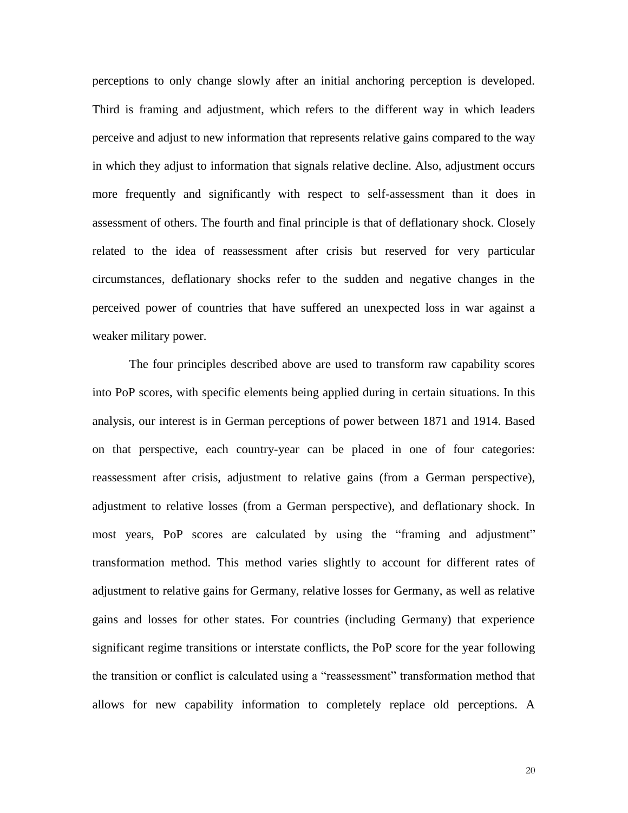perceptions to only change slowly after an initial anchoring perception is developed. Third is framing and adjustment, which refers to the different way in which leaders perceive and adjust to new information that represents relative gains compared to the way in which they adjust to information that signals relative decline. Also, adjustment occurs more frequently and significantly with respect to self-assessment than it does in assessment of others. The fourth and final principle is that of deflationary shock. Closely related to the idea of reassessment after crisis but reserved for very particular circumstances, deflationary shocks refer to the sudden and negative changes in the perceived power of countries that have suffered an unexpected loss in war against a weaker military power.

The four principles described above are used to transform raw capability scores into PoP scores, with specific elements being applied during in certain situations. In this analysis, our interest is in German perceptions of power between 1871 and 1914. Based on that perspective, each country-year can be placed in one of four categories: reassessment after crisis, adjustment to relative gains (from a German perspective), adjustment to relative losses (from a German perspective), and deflationary shock. In most years, PoP scores are calculated by using the "framing and adjustment" transformation method. This method varies slightly to account for different rates of adjustment to relative gains for Germany, relative losses for Germany, as well as relative gains and losses for other states. For countries (including Germany) that experience significant regime transitions or interstate conflicts, the PoP score for the year following the transition or conflict is calculated using a "reassessment" transformation method that allows for new capability information to completely replace old perceptions. A

20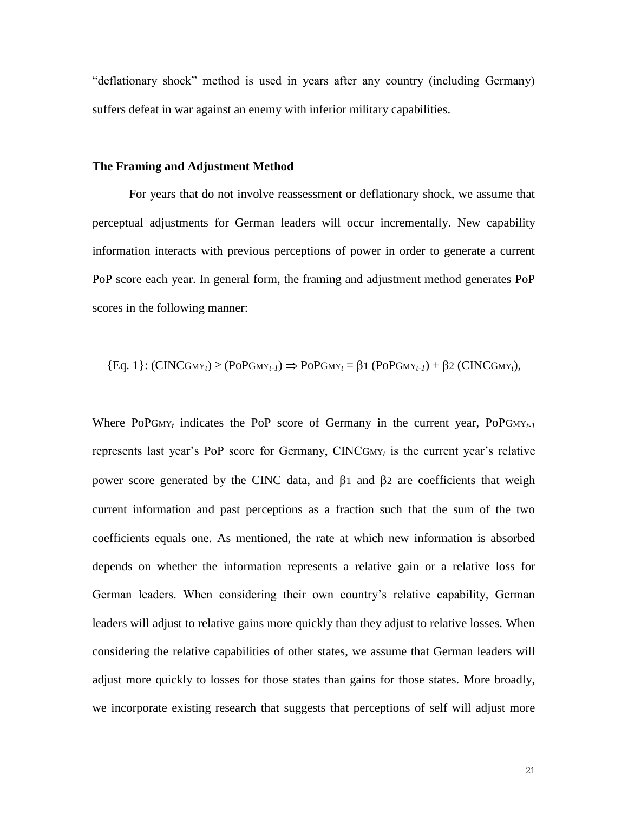"deflationary shock" method is used in years after any country (including Germany) suffers defeat in war against an enemy with inferior military capabilities.

### **The Framing and Adjustment Method**

For years that do not involve reassessment or deflationary shock, we assume that perceptual adjustments for German leaders will occur incrementally. New capability information interacts with previous perceptions of power in order to generate a current PoP score each year. In general form, the framing and adjustment method generates PoP scores in the following manner:

{Eq. 1}: 
$$
(CINCGMY_t) \ge (PoPGMY_{t-1}) \Rightarrow PoPGMY_t = \beta 1 (PoPGMY_{t-1}) + \beta 2 (CINCGMY_t)
$$
,

Where PoPG<sub>MY<sub>t</sub></sub> indicates the PoP score of Germany in the current year, PoPG<sub>MY<sub>t-1</sub></sub> represents last year's PoP score for Germany, CINCGMY*<sup>t</sup>* is the current year's relative power score generated by the CINC data, and  $\beta$ 1 and  $\beta$ 2 are coefficients that weigh current information and past perceptions as a fraction such that the sum of the two coefficients equals one. As mentioned, the rate at which new information is absorbed depends on whether the information represents a relative gain or a relative loss for German leaders. When considering their own country's relative capability, German leaders will adjust to relative gains more quickly than they adjust to relative losses. When considering the relative capabilities of other states, we assume that German leaders will adjust more quickly to losses for those states than gains for those states. More broadly, we incorporate existing research that suggests that perceptions of self will adjust more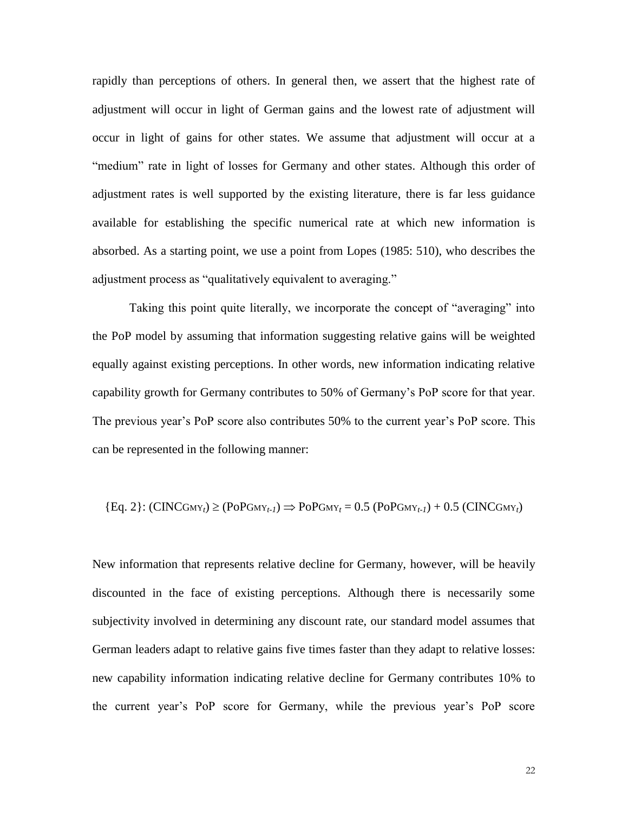rapidly than perceptions of others. In general then, we assert that the highest rate of adjustment will occur in light of German gains and the lowest rate of adjustment will occur in light of gains for other states. We assume that adjustment will occur at a "medium" rate in light of losses for Germany and other states. Although this order of adjustment rates is well supported by the existing literature, there is far less guidance available for establishing the specific numerical rate at which new information is absorbed. As a starting point, we use a point from Lopes (1985: 510), who describes the adjustment process as "qualitatively equivalent to averaging."

Taking this point quite literally, we incorporate the concept of "averaging" into the PoP model by assuming that information suggesting relative gains will be weighted equally against existing perceptions. In other words, new information indicating relative capability growth for Germany contributes to 50% of Germany's PoP score for that year. The previous year's PoP score also contributes 50% to the current year's PoP score. This can be represented in the following manner:

{Eq. 2}: 
$$
(CINCGMY_t) \ge (PoPGMY_{t-1}) \Rightarrow PoPGMY_t = 0.5 (PoPGMY_{t-1}) + 0.5 (CINCGMY_t)
$$

New information that represents relative decline for Germany, however, will be heavily discounted in the face of existing perceptions. Although there is necessarily some subjectivity involved in determining any discount rate, our standard model assumes that German leaders adapt to relative gains five times faster than they adapt to relative losses: new capability information indicating relative decline for Germany contributes 10% to the current year's PoP score for Germany, while the previous year's PoP score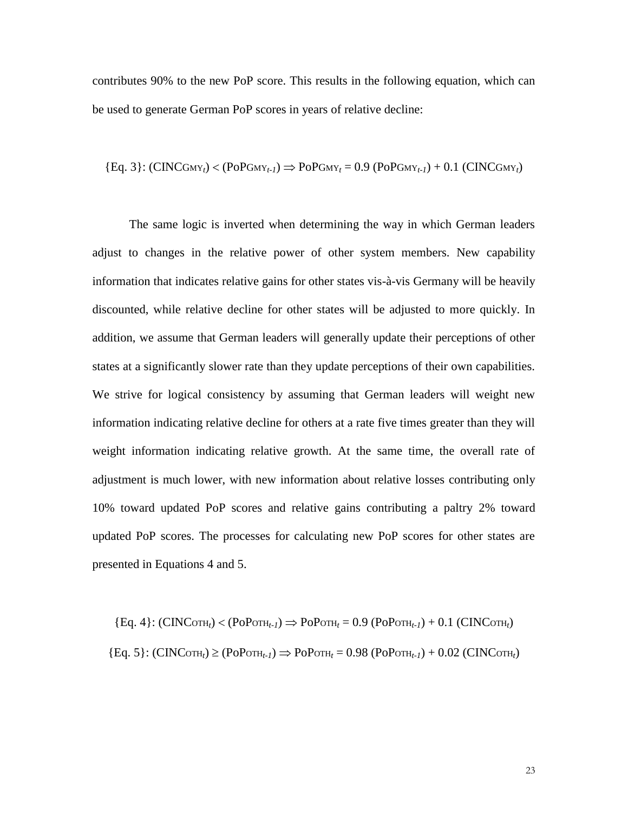contributes 90% to the new PoP score. This results in the following equation, which can be used to generate German PoP scores in years of relative decline:

{Eq. 3}: 
$$
(CINCGmy_t) < (PoPGmy_{t-1}) \Rightarrow PoPGmy_t = 0.9 (PoPGmy_{t-1}) + 0.1 (CINCGmy_t)
$$

The same logic is inverted when determining the way in which German leaders adjust to changes in the relative power of other system members. New capability information that indicates relative gains for other states vis-à-vis Germany will be heavily discounted, while relative decline for other states will be adjusted to more quickly. In addition, we assume that German leaders will generally update their perceptions of other states at a significantly slower rate than they update perceptions of their own capabilities. We strive for logical consistency by assuming that German leaders will weight new information indicating relative decline for others at a rate five times greater than they will weight information indicating relative growth. At the same time, the overall rate of adjustment is much lower, with new information about relative losses contributing only 10% toward updated PoP scores and relative gains contributing a paltry 2% toward updated PoP scores. The processes for calculating new PoP scores for other states are presented in Equations 4 and 5.

 ${Eq. 4}: (CINCort<sub>t</sub>) < (PoPort<sub>t-1</sub>) \Rightarrow PoPort<sub>t</sub> = 0.9 (PoPort<sub>t-1</sub>) + 0.1 (CINCort<sub>t</sub>)$  ${Eq. 5}: (CINCort<sub>t</sub>) \ge (PoPort<sub>t-1</sub>) \Rightarrow PoPort<sub>t</sub> = 0.98 (PoPort<sub>t-1</sub>) + 0.02 (CINCort<sub>t</sub>)$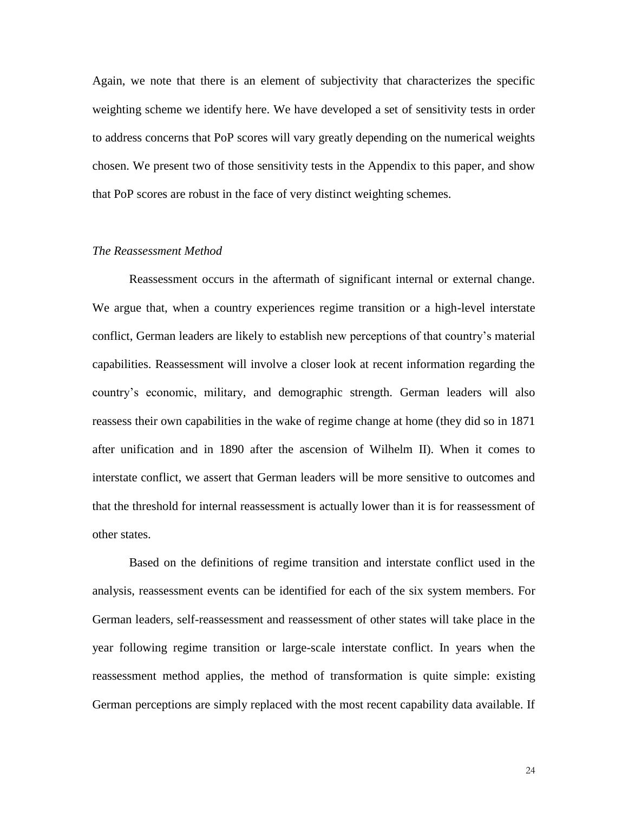Again, we note that there is an element of subjectivity that characterizes the specific weighting scheme we identify here. We have developed a set of sensitivity tests in order to address concerns that PoP scores will vary greatly depending on the numerical weights chosen. We present two of those sensitivity tests in the Appendix to this paper, and show that PoP scores are robust in the face of very distinct weighting schemes.

# *The Reassessment Method*

Reassessment occurs in the aftermath of significant internal or external change. We argue that, when a country experiences regime transition or a high-level interstate conflict, German leaders are likely to establish new perceptions of that country's material capabilities. Reassessment will involve a closer look at recent information regarding the country's economic, military, and demographic strength. German leaders will also reassess their own capabilities in the wake of regime change at home (they did so in 1871 after unification and in 1890 after the ascension of Wilhelm II). When it comes to interstate conflict, we assert that German leaders will be more sensitive to outcomes and that the threshold for internal reassessment is actually lower than it is for reassessment of other states.

Based on the definitions of regime transition and interstate conflict used in the analysis, reassessment events can be identified for each of the six system members. For German leaders, self-reassessment and reassessment of other states will take place in the year following regime transition or large-scale interstate conflict. In years when the reassessment method applies, the method of transformation is quite simple: existing German perceptions are simply replaced with the most recent capability data available. If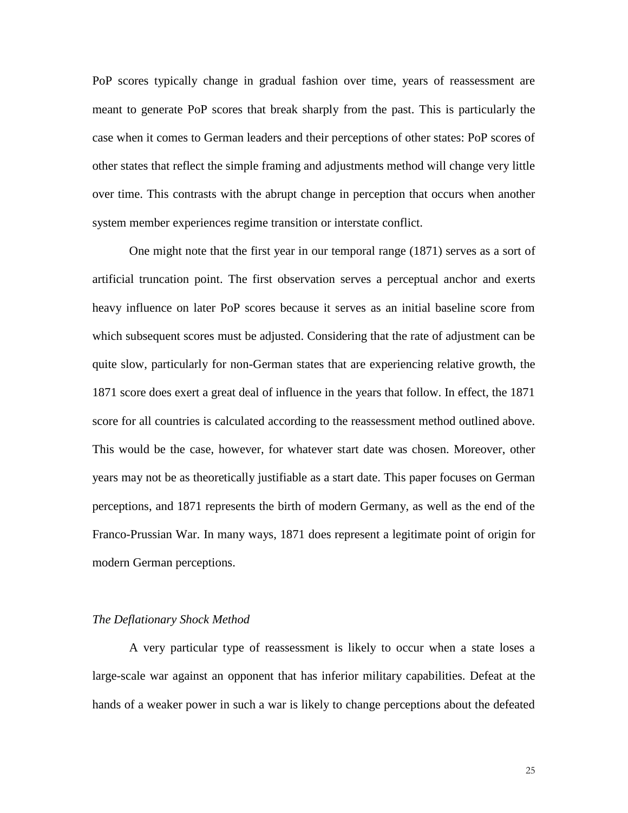PoP scores typically change in gradual fashion over time, years of reassessment are meant to generate PoP scores that break sharply from the past. This is particularly the case when it comes to German leaders and their perceptions of other states: PoP scores of other states that reflect the simple framing and adjustments method will change very little over time. This contrasts with the abrupt change in perception that occurs when another system member experiences regime transition or interstate conflict.

One might note that the first year in our temporal range (1871) serves as a sort of artificial truncation point. The first observation serves a perceptual anchor and exerts heavy influence on later PoP scores because it serves as an initial baseline score from which subsequent scores must be adjusted. Considering that the rate of adjustment can be quite slow, particularly for non-German states that are experiencing relative growth, the 1871 score does exert a great deal of influence in the years that follow. In effect, the 1871 score for all countries is calculated according to the reassessment method outlined above. This would be the case, however, for whatever start date was chosen. Moreover, other years may not be as theoretically justifiable as a start date. This paper focuses on German perceptions, and 1871 represents the birth of modern Germany, as well as the end of the Franco-Prussian War. In many ways, 1871 does represent a legitimate point of origin for modern German perceptions.

### *The Deflationary Shock Method*

A very particular type of reassessment is likely to occur when a state loses a large-scale war against an opponent that has inferior military capabilities. Defeat at the hands of a weaker power in such a war is likely to change perceptions about the defeated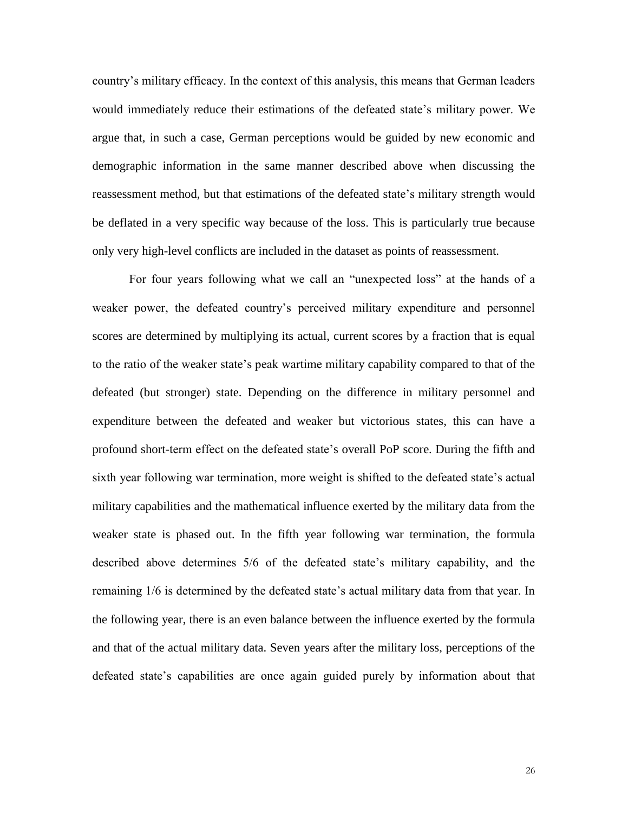country's military efficacy. In the context of this analysis, this means that German leaders would immediately reduce their estimations of the defeated state's military power. We argue that, in such a case, German perceptions would be guided by new economic and demographic information in the same manner described above when discussing the reassessment method, but that estimations of the defeated state's military strength would be deflated in a very specific way because of the loss. This is particularly true because only very high-level conflicts are included in the dataset as points of reassessment.

For four years following what we call an "unexpected loss" at the hands of a weaker power, the defeated country's perceived military expenditure and personnel scores are determined by multiplying its actual, current scores by a fraction that is equal to the ratio of the weaker state's peak wartime military capability compared to that of the defeated (but stronger) state. Depending on the difference in military personnel and expenditure between the defeated and weaker but victorious states, this can have a profound short-term effect on the defeated state's overall PoP score. During the fifth and sixth year following war termination, more weight is shifted to the defeated state's actual military capabilities and the mathematical influence exerted by the military data from the weaker state is phased out. In the fifth year following war termination, the formula described above determines 5/6 of the defeated state's military capability, and the remaining 1/6 is determined by the defeated state's actual military data from that year. In the following year, there is an even balance between the influence exerted by the formula and that of the actual military data. Seven years after the military loss, perceptions of the defeated state's capabilities are once again guided purely by information about that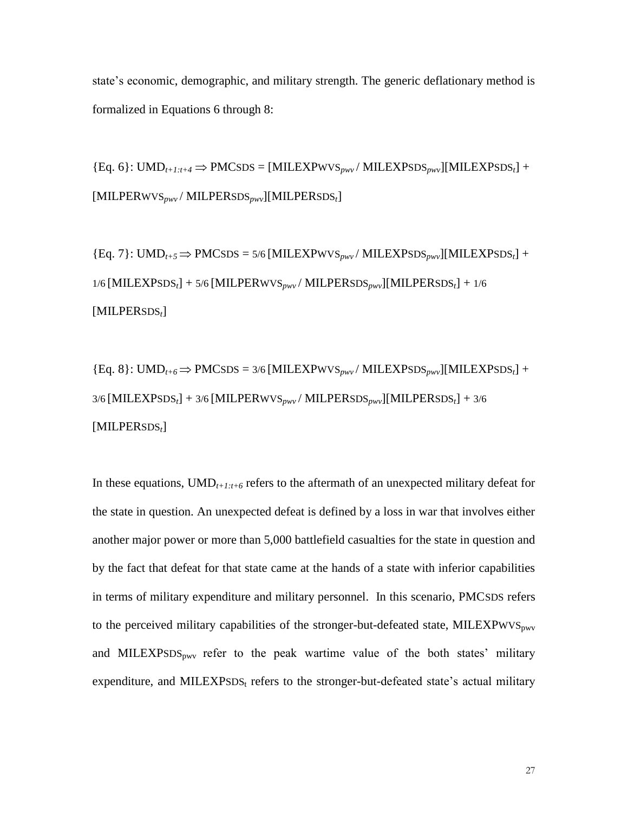state's economic, demographic, and military strength. The generic deflationary method is formalized in Equations 6 through 8:

 ${Eq. 6}: UMD_{t+1:t+4} \Rightarrow PMCSDS = [MILEXPWVS_{pwv}/MILEXPSDS_{pwv}][MILEXPSDS_t] +$ [MILPERWVS*pwv* / MILPERSDS*pwv*][MILPERSDS*t*]

 ${Eq. 7}: UMD_{t+5} \Rightarrow PMCSDS = 5/6 [MILEXPWVS_{p\mu\nu} / MILEXPSDS_{p\mu\nu}][MILEXPSDS_t] +$ 1/6 [MILEXPSDS*t*] + 5/6 [MILPERWVS*pwv* / MILPERSDS*pwv*][MILPERSDS*t*] + 1/6 [MILPERSDS*t*]

{Eq. 8}: UMD*t+6*  PMCSDS = 3/6 [MILEXPWVS*pwv* / MILEXPSDS*pwv*][MILEXPSDS*t*] + 3/6 [MILEXPSDS*t*] + 3/6 [MILPERWVS*pwv* / MILPERSDS*pwv*][MILPERSDS*t*] + 3/6 [MILPERSDS*t*]

In these equations,  $\text{UMD}_{t+1:t+6}$  refers to the aftermath of an unexpected military defeat for the state in question. An unexpected defeat is defined by a loss in war that involves either another major power or more than 5,000 battlefield casualties for the state in question and by the fact that defeat for that state came at the hands of a state with inferior capabilities in terms of military expenditure and military personnel. In this scenario, PMCSDS refers to the perceived military capabilities of the stronger-but-defeated state, MILEXPWVS<sub>pwv</sub> and MILEXPSDS<sub>pwv</sub> refer to the peak wartime value of the both states' military expenditure, and MILEXPSDS $_t$  refers to the stronger-but-defeated state's actual military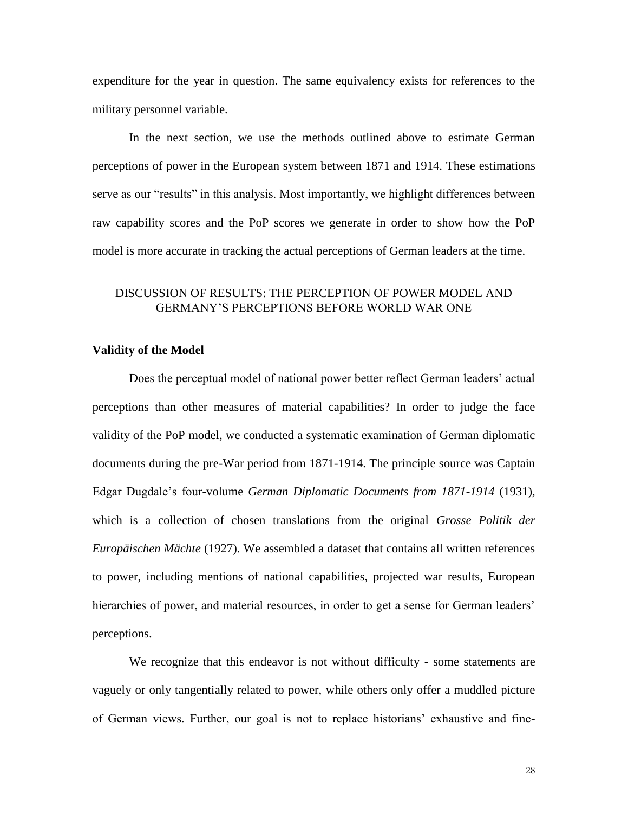expenditure for the year in question. The same equivalency exists for references to the military personnel variable.

In the next section, we use the methods outlined above to estimate German perceptions of power in the European system between 1871 and 1914. These estimations serve as our "results" in this analysis. Most importantly, we highlight differences between raw capability scores and the PoP scores we generate in order to show how the PoP model is more accurate in tracking the actual perceptions of German leaders at the time.

# DISCUSSION OF RESULTS: THE PERCEPTION OF POWER MODEL AND GERMANY'S PERCEPTIONS BEFORE WORLD WAR ONE

# **Validity of the Model**

Does the perceptual model of national power better reflect German leaders' actual perceptions than other measures of material capabilities? In order to judge the face validity of the PoP model, we conducted a systematic examination of German diplomatic documents during the pre-War period from 1871-1914. The principle source was Captain Edgar Dugdale's four-volume *German Diplomatic Documents from 1871-1914* (1931)*,*  which is a collection of chosen translations from the original *Grosse Politik der Europäischen Mächte* (1927). We assembled a dataset that contains all written references to power, including mentions of national capabilities, projected war results, European hierarchies of power, and material resources, in order to get a sense for German leaders' perceptions.

We recognize that this endeavor is not without difficulty - some statements are vaguely or only tangentially related to power, while others only offer a muddled picture of German views. Further, our goal is not to replace historians' exhaustive and fine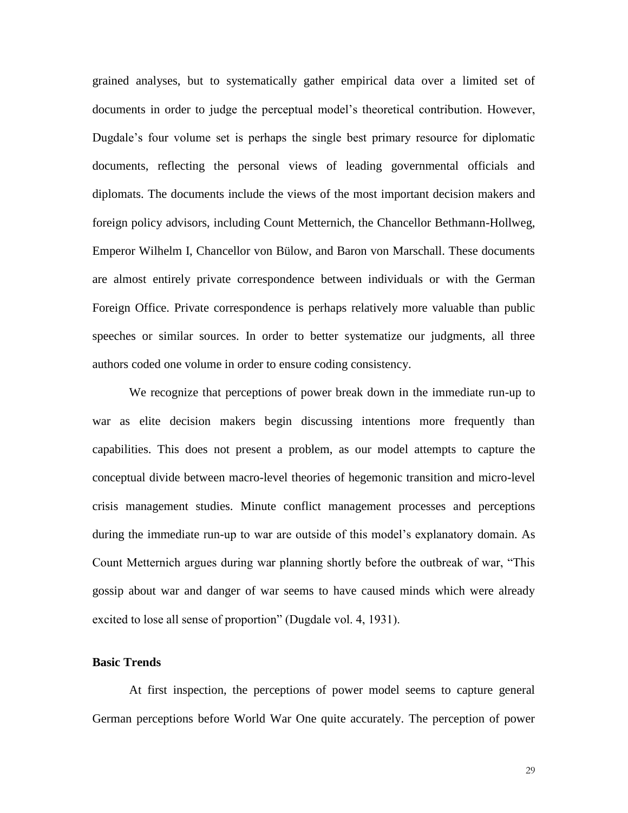grained analyses, but to systematically gather empirical data over a limited set of documents in order to judge the perceptual model's theoretical contribution. However, Dugdale's four volume set is perhaps the single best primary resource for diplomatic documents, reflecting the personal views of leading governmental officials and diplomats. The documents include the views of the most important decision makers and foreign policy advisors, including Count Metternich, the Chancellor Bethmann-Hollweg, Emperor Wilhelm I, Chancellor von Bülow, and Baron von Marschall. These documents are almost entirely private correspondence between individuals or with the German Foreign Office. Private correspondence is perhaps relatively more valuable than public speeches or similar sources. In order to better systematize our judgments, all three authors coded one volume in order to ensure coding consistency.

We recognize that perceptions of power break down in the immediate run-up to war as elite decision makers begin discussing intentions more frequently than capabilities. This does not present a problem, as our model attempts to capture the conceptual divide between macro-level theories of hegemonic transition and micro-level crisis management studies. Minute conflict management processes and perceptions during the immediate run-up to war are outside of this model's explanatory domain. As Count Metternich argues during war planning shortly before the outbreak of war, "This gossip about war and danger of war seems to have caused minds which were already excited to lose all sense of proportion" (Dugdale vol. 4, 1931).

### **Basic Trends**

At first inspection, the perceptions of power model seems to capture general German perceptions before World War One quite accurately. The perception of power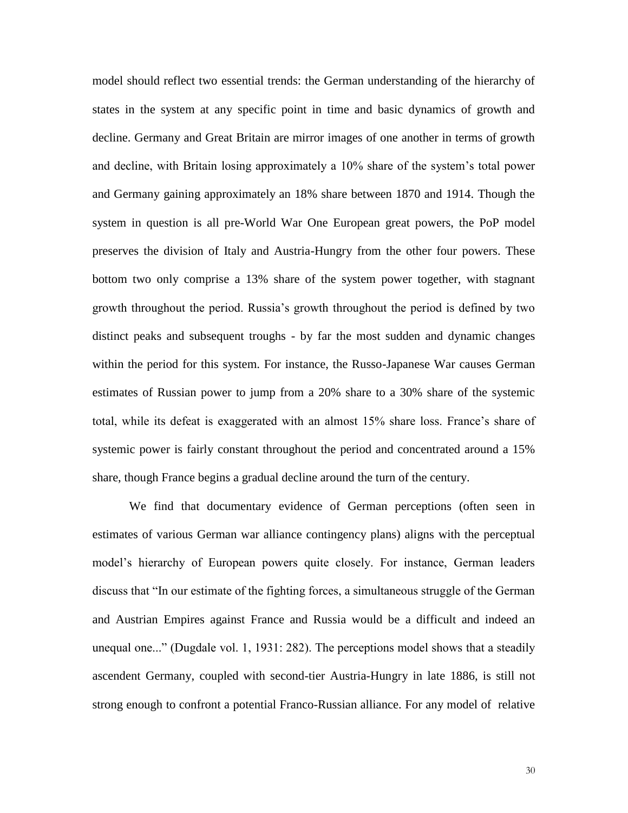model should reflect two essential trends: the German understanding of the hierarchy of states in the system at any specific point in time and basic dynamics of growth and decline. Germany and Great Britain are mirror images of one another in terms of growth and decline, with Britain losing approximately a 10% share of the system's total power and Germany gaining approximately an 18% share between 1870 and 1914. Though the system in question is all pre-World War One European great powers, the PoP model preserves the division of Italy and Austria-Hungry from the other four powers. These bottom two only comprise a 13% share of the system power together, with stagnant growth throughout the period. Russia's growth throughout the period is defined by two distinct peaks and subsequent troughs - by far the most sudden and dynamic changes within the period for this system. For instance, the Russo-Japanese War causes German estimates of Russian power to jump from a 20% share to a 30% share of the systemic total, while its defeat is exaggerated with an almost 15% share loss. France's share of systemic power is fairly constant throughout the period and concentrated around a 15% share, though France begins a gradual decline around the turn of the century.

We find that documentary evidence of German perceptions (often seen in estimates of various German war alliance contingency plans) aligns with the perceptual model's hierarchy of European powers quite closely. For instance, German leaders discuss that "In our estimate of the fighting forces, a simultaneous struggle of the German and Austrian Empires against France and Russia would be a difficult and indeed an unequal one..." (Dugdale vol. 1, 1931: 282). The perceptions model shows that a steadily ascendent Germany, coupled with second-tier Austria-Hungry in late 1886, is still not strong enough to confront a potential Franco-Russian alliance. For any model of relative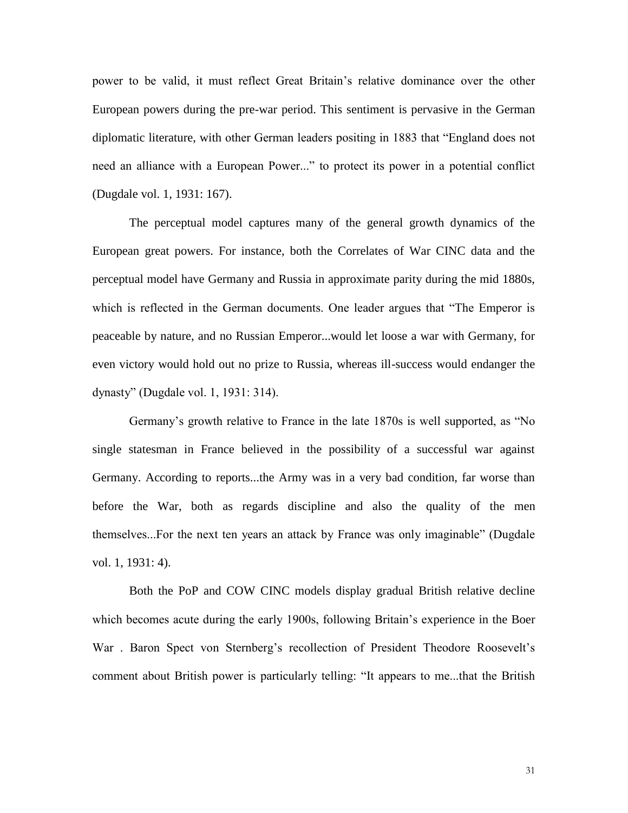power to be valid, it must reflect Great Britain's relative dominance over the other European powers during the pre-war period. This sentiment is pervasive in the German diplomatic literature, with other German leaders positing in 1883 that "England does not need an alliance with a European Power..." to protect its power in a potential conflict (Dugdale vol. 1, 1931: 167).

The perceptual model captures many of the general growth dynamics of the European great powers. For instance, both the Correlates of War CINC data and the perceptual model have Germany and Russia in approximate parity during the mid 1880s, which is reflected in the German documents. One leader argues that "The Emperor is peaceable by nature, and no Russian Emperor...would let loose a war with Germany, for even victory would hold out no prize to Russia, whereas ill-success would endanger the dynasty" (Dugdale vol. 1, 1931: 314).

Germany's growth relative to France in the late 1870s is well supported, as "No single statesman in France believed in the possibility of a successful war against Germany. According to reports...the Army was in a very bad condition, far worse than before the War, both as regards discipline and also the quality of the men themselves...For the next ten years an attack by France was only imaginable" (Dugdale vol. 1, 1931: 4).

Both the PoP and COW CINC models display gradual British relative decline which becomes acute during the early 1900s, following Britain's experience in the Boer War . Baron Spect von Sternberg's recollection of President Theodore Roosevelt's comment about British power is particularly telling: "It appears to me...that the British

31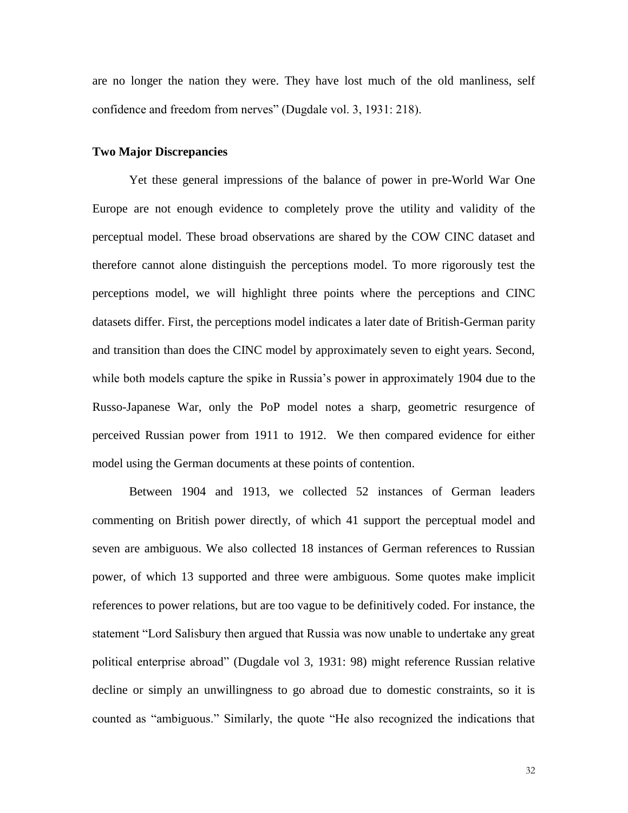are no longer the nation they were. They have lost much of the old manliness, self confidence and freedom from nerves" (Dugdale vol. 3, 1931: 218).

### **Two Major Discrepancies**

Yet these general impressions of the balance of power in pre-World War One Europe are not enough evidence to completely prove the utility and validity of the perceptual model. These broad observations are shared by the COW CINC dataset and therefore cannot alone distinguish the perceptions model. To more rigorously test the perceptions model, we will highlight three points where the perceptions and CINC datasets differ. First, the perceptions model indicates a later date of British-German parity and transition than does the CINC model by approximately seven to eight years. Second, while both models capture the spike in Russia's power in approximately 1904 due to the Russo-Japanese War, only the PoP model notes a sharp, geometric resurgence of perceived Russian power from 1911 to 1912. We then compared evidence for either model using the German documents at these points of contention.

Between 1904 and 1913, we collected 52 instances of German leaders commenting on British power directly, of which 41 support the perceptual model and seven are ambiguous. We also collected 18 instances of German references to Russian power, of which 13 supported and three were ambiguous. Some quotes make implicit references to power relations, but are too vague to be definitively coded. For instance, the statement "Lord Salisbury then argued that Russia was now unable to undertake any great political enterprise abroad" (Dugdale vol 3, 1931: 98) might reference Russian relative decline or simply an unwillingness to go abroad due to domestic constraints, so it is counted as "ambiguous." Similarly, the quote "He also recognized the indications that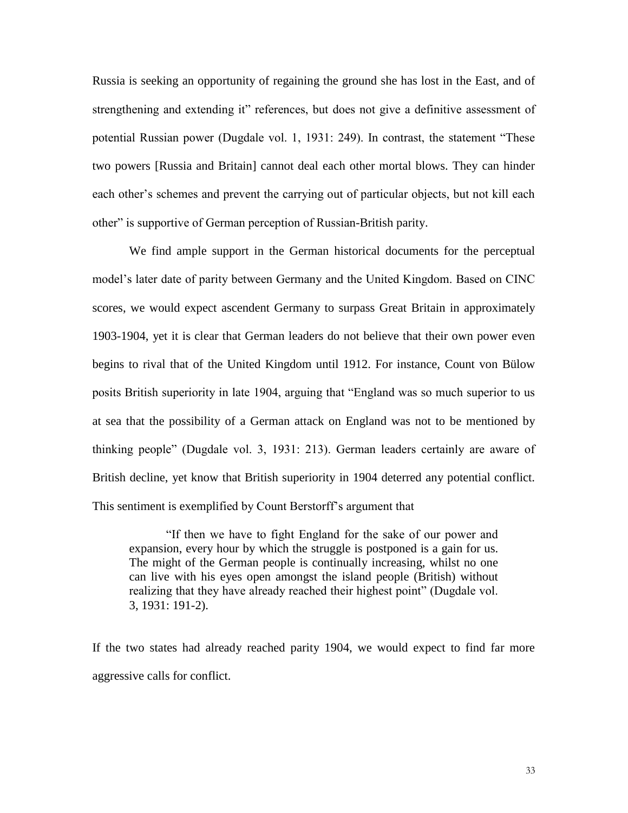Russia is seeking an opportunity of regaining the ground she has lost in the East, and of strengthening and extending it" references, but does not give a definitive assessment of potential Russian power (Dugdale vol. 1, 1931: 249). In contrast, the statement "These two powers [Russia and Britain] cannot deal each other mortal blows. They can hinder each other's schemes and prevent the carrying out of particular objects, but not kill each other" is supportive of German perception of Russian-British parity.

We find ample support in the German historical documents for the perceptual model's later date of parity between Germany and the United Kingdom. Based on CINC scores, we would expect ascendent Germany to surpass Great Britain in approximately 1903-1904, yet it is clear that German leaders do not believe that their own power even begins to rival that of the United Kingdom until 1912. For instance, Count von Bülow posits British superiority in late 1904, arguing that "England was so much superior to us at sea that the possibility of a German attack on England was not to be mentioned by thinking people" (Dugdale vol. 3, 1931: 213). German leaders certainly are aware of British decline, yet know that British superiority in 1904 deterred any potential conflict. This sentiment is exemplified by Count Berstorff's argument that

"If then we have to fight England for the sake of our power and expansion, every hour by which the struggle is postponed is a gain for us. The might of the German people is continually increasing, whilst no one can live with his eyes open amongst the island people (British) without realizing that they have already reached their highest point" (Dugdale vol. 3, 1931: 191-2).

If the two states had already reached parity 1904, we would expect to find far more aggressive calls for conflict.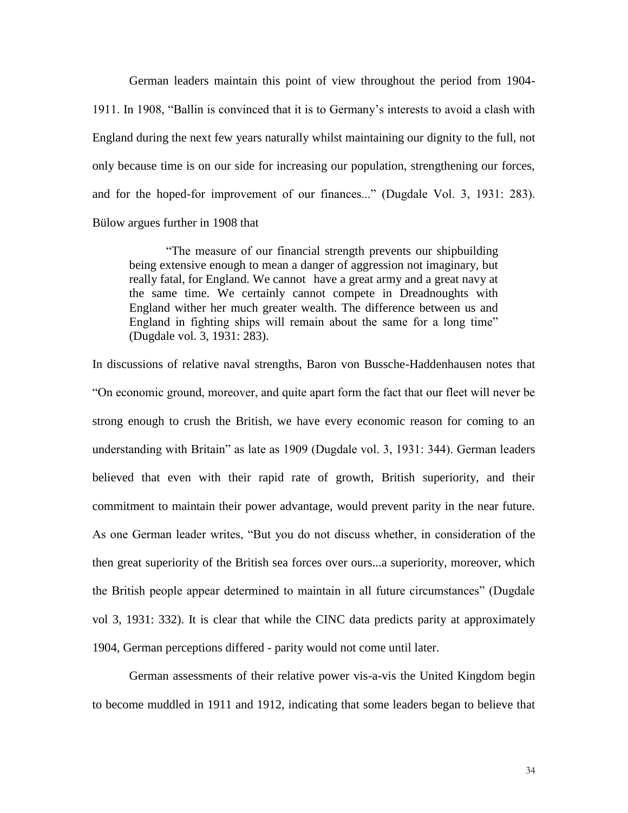German leaders maintain this point of view throughout the period from 1904- 1911. In 1908, "Ballin is convinced that it is to Germany's interests to avoid a clash with England during the next few years naturally whilst maintaining our dignity to the full, not only because time is on our side for increasing our population, strengthening our forces, and for the hoped-for improvement of our finances..." (Dugdale Vol. 3, 1931: 283). Bülow argues further in 1908 that

"The measure of our financial strength prevents our shipbuilding being extensive enough to mean a danger of aggression not imaginary, but really fatal, for England. We cannot have a great army and a great navy at the same time. We certainly cannot compete in Dreadnoughts with England wither her much greater wealth. The difference between us and England in fighting ships will remain about the same for a long time" (Dugdale vol. 3, 1931: 283).

In discussions of relative naval strengths, Baron von Bussche-Haddenhausen notes that "On economic ground, moreover, and quite apart form the fact that our fleet will never be strong enough to crush the British, we have every economic reason for coming to an understanding with Britain" as late as 1909 (Dugdale vol. 3, 1931: 344). German leaders believed that even with their rapid rate of growth, British superiority, and their commitment to maintain their power advantage, would prevent parity in the near future. As one German leader writes, "But you do not discuss whether, in consideration of the then great superiority of the British sea forces over ours...a superiority, moreover, which the British people appear determined to maintain in all future circumstances" (Dugdale vol 3, 1931: 332). It is clear that while the CINC data predicts parity at approximately 1904, German perceptions differed - parity would not come until later.

German assessments of their relative power vis-a-vis the United Kingdom begin to become muddled in 1911 and 1912, indicating that some leaders began to believe that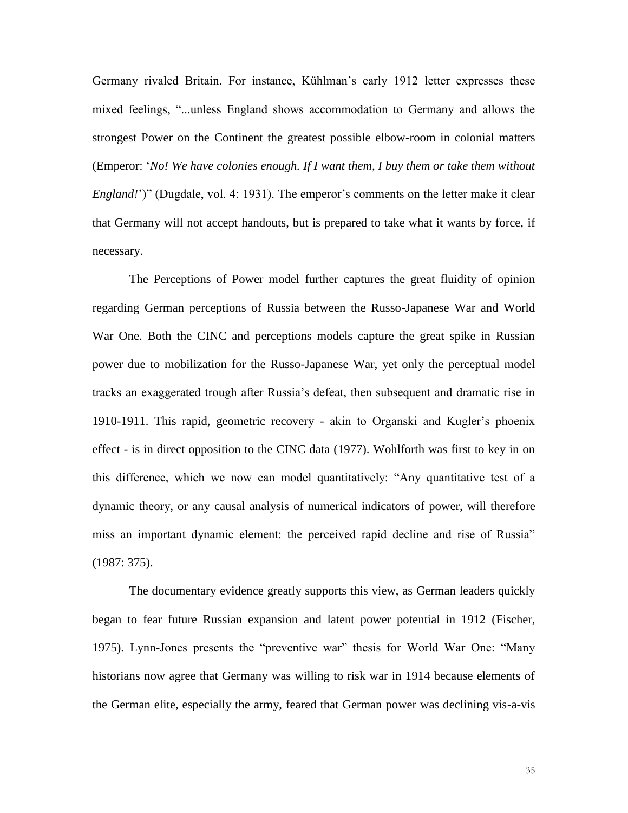Germany rivaled Britain. For instance, Kühlman's early 1912 letter expresses these mixed feelings, "...unless England shows accommodation to Germany and allows the strongest Power on the Continent the greatest possible elbow-room in colonial matters (Emperor: '*No! We have colonies enough. If I want them, I buy them or take them without England!*')" (Dugdale, vol. 4: 1931). The emperor's comments on the letter make it clear that Germany will not accept handouts, but is prepared to take what it wants by force, if necessary.

The Perceptions of Power model further captures the great fluidity of opinion regarding German perceptions of Russia between the Russo-Japanese War and World War One. Both the CINC and perceptions models capture the great spike in Russian power due to mobilization for the Russo-Japanese War, yet only the perceptual model tracks an exaggerated trough after Russia's defeat, then subsequent and dramatic rise in 1910-1911. This rapid, geometric recovery - akin to Organski and Kugler's phoenix effect - is in direct opposition to the CINC data (1977). Wohlforth was first to key in on this difference, which we now can model quantitatively: "Any quantitative test of a dynamic theory, or any causal analysis of numerical indicators of power, will therefore miss an important dynamic element: the perceived rapid decline and rise of Russia" (1987: 375).

The documentary evidence greatly supports this view, as German leaders quickly began to fear future Russian expansion and latent power potential in 1912 (Fischer, 1975). Lynn-Jones presents the "preventive war" thesis for World War One: "Many historians now agree that Germany was willing to risk war in 1914 because elements of the German elite, especially the army, feared that German power was declining vis-a-vis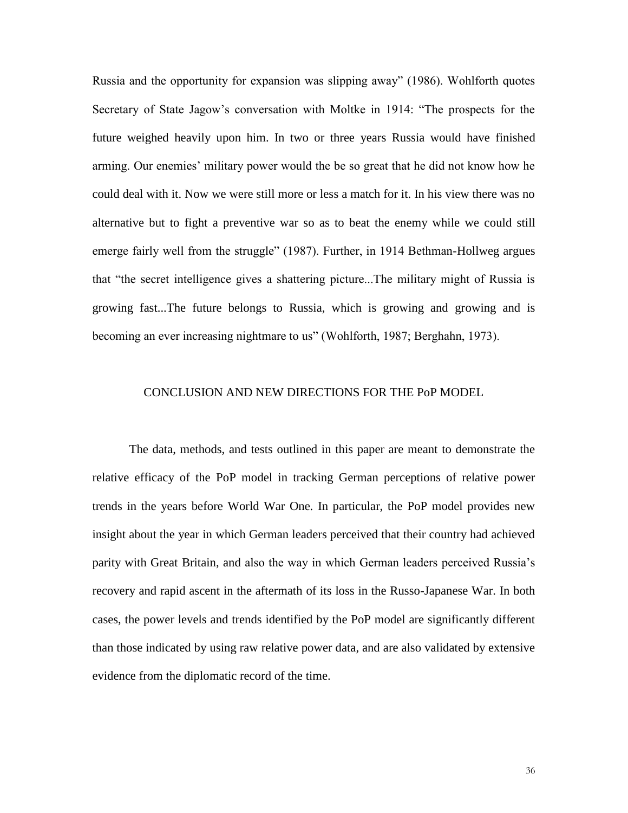Russia and the opportunity for expansion was slipping away" (1986). Wohlforth quotes Secretary of State Jagow's conversation with Moltke in 1914: "The prospects for the future weighed heavily upon him. In two or three years Russia would have finished arming. Our enemies' military power would the be so great that he did not know how he could deal with it. Now we were still more or less a match for it. In his view there was no alternative but to fight a preventive war so as to beat the enemy while we could still emerge fairly well from the struggle" (1987). Further, in 1914 Bethman-Hollweg argues that "the secret intelligence gives a shattering picture...The military might of Russia is growing fast...The future belongs to Russia, which is growing and growing and is becoming an ever increasing nightmare to us" (Wohlforth, 1987; Berghahn, 1973).

# CONCLUSION AND NEW DIRECTIONS FOR THE PoP MODEL

The data, methods, and tests outlined in this paper are meant to demonstrate the relative efficacy of the PoP model in tracking German perceptions of relative power trends in the years before World War One. In particular, the PoP model provides new insight about the year in which German leaders perceived that their country had achieved parity with Great Britain, and also the way in which German leaders perceived Russia's recovery and rapid ascent in the aftermath of its loss in the Russo-Japanese War. In both cases, the power levels and trends identified by the PoP model are significantly different than those indicated by using raw relative power data, and are also validated by extensive evidence from the diplomatic record of the time.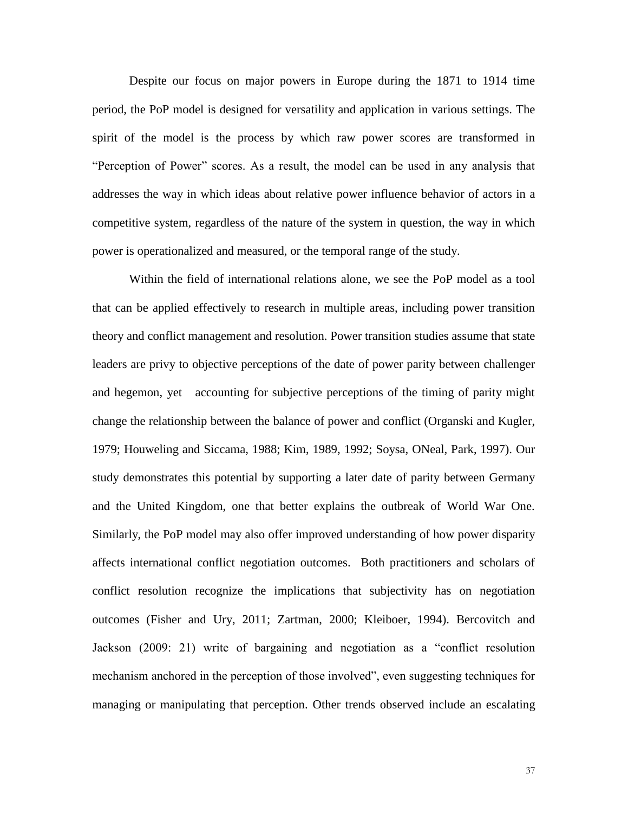Despite our focus on major powers in Europe during the 1871 to 1914 time period, the PoP model is designed for versatility and application in various settings. The spirit of the model is the process by which raw power scores are transformed in "Perception of Power" scores. As a result, the model can be used in any analysis that addresses the way in which ideas about relative power influence behavior of actors in a competitive system, regardless of the nature of the system in question, the way in which power is operationalized and measured, or the temporal range of the study.

Within the field of international relations alone, we see the PoP model as a tool that can be applied effectively to research in multiple areas, including power transition theory and conflict management and resolution. Power transition studies assume that state leaders are privy to objective perceptions of the date of power parity between challenger and hegemon, yet accounting for subjective perceptions of the timing of parity might change the relationship between the balance of power and conflict (Organski and Kugler, 1979; Houweling and Siccama, 1988; Kim, 1989, 1992; Soysa, ONeal, Park, 1997). Our study demonstrates this potential by supporting a later date of parity between Germany and the United Kingdom, one that better explains the outbreak of World War One. Similarly, the PoP model may also offer improved understanding of how power disparity affects international conflict negotiation outcomes. Both practitioners and scholars of conflict resolution recognize the implications that subjectivity has on negotiation outcomes (Fisher and Ury, 2011; Zartman, 2000; Kleiboer, 1994). Bercovitch and Jackson (2009: 21) write of bargaining and negotiation as a "conflict resolution mechanism anchored in the perception of those involved", even suggesting techniques for managing or manipulating that perception. Other trends observed include an escalating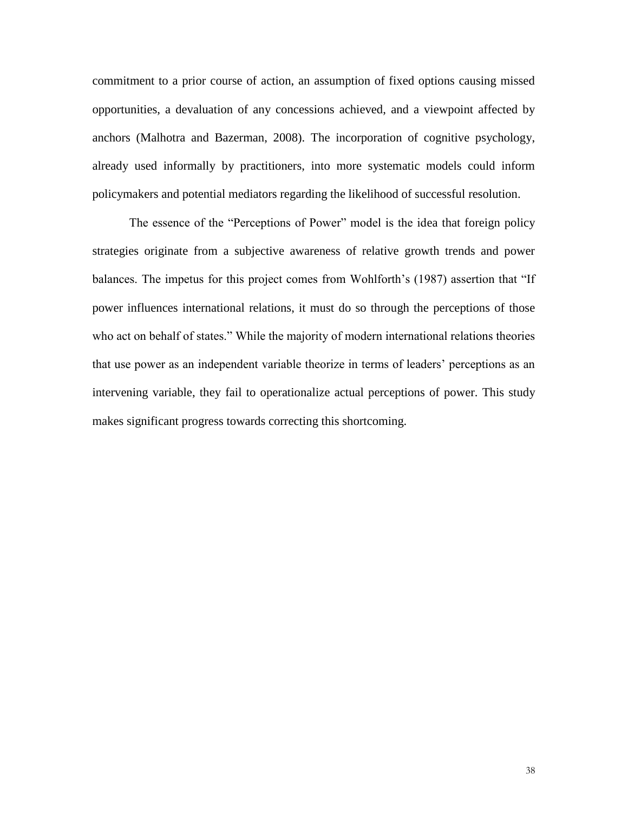commitment to a prior course of action, an assumption of fixed options causing missed opportunities, a devaluation of any concessions achieved, and a viewpoint affected by anchors (Malhotra and Bazerman, 2008). The incorporation of cognitive psychology, already used informally by practitioners, into more systematic models could inform policymakers and potential mediators regarding the likelihood of successful resolution.

The essence of the "Perceptions of Power" model is the idea that foreign policy strategies originate from a subjective awareness of relative growth trends and power balances. The impetus for this project comes from Wohlforth's (1987) assertion that "If power influences international relations, it must do so through the perceptions of those who act on behalf of states." While the majority of modern international relations theories that use power as an independent variable theorize in terms of leaders' perceptions as an intervening variable, they fail to operationalize actual perceptions of power. This study makes significant progress towards correcting this shortcoming.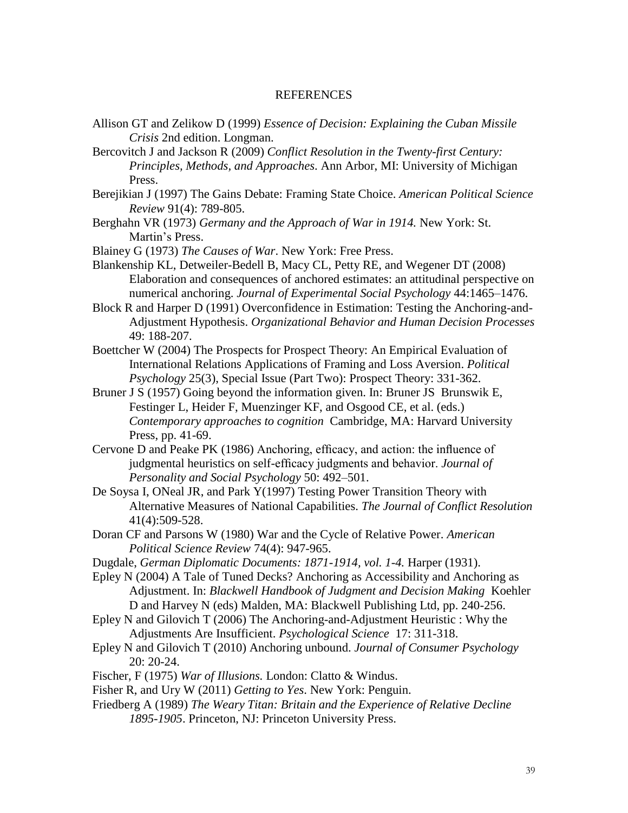# REFERENCES

- Allison GT and Zelikow D (1999) *Essence of Decision: Explaining the Cuban Missile Crisis* 2nd edition. Longman.
- Bercovitch J and Jackson R (2009) *Conflict Resolution in the Twenty-first Century: Principles, Methods, and Approaches*. Ann Arbor, MI: University of Michigan Press.
- Berejikian J (1997) The Gains Debate: Framing State Choice. *American Political Science Review* 91(4): 789-805.
- Berghahn VR (1973) *Germany and the Approach of War in 1914.* New York: St. Martin's Press.
- Blainey G (1973) *The Causes of War*. New York: Free Press.
- Blankenship KL, Detweiler-Bedell B, Macy CL, Petty RE, and Wegener DT (2008) Elaboration and consequences of anchored estimates: an attitudinal perspective on numerical anchoring. *Journal of Experimental Social Psychology* 44:1465–1476.
- Block R and Harper D (1991) Overconfidence in Estimation: Testing the Anchoring-and-Adjustment Hypothesis. *Organizational Behavior and Human Decision Processes* 49: 188-207.
- Boettcher W (2004) The Prospects for Prospect Theory: An Empirical Evaluation of International Relations Applications of Framing and Loss Aversion. *Political Psychology* 25(3), Special Issue (Part Two): Prospect Theory: 331-362.
- Bruner J S (1957) Going beyond the information given. In: Bruner JS Brunswik E, Festinger L, Heider F, Muenzinger KF, and Osgood CE, et al. (eds.) *Contemporary approaches to cognition* Cambridge, MA: Harvard University Press, pp. 41-69.
- Cervone D and Peake PK (1986) Anchoring, efficacy, and action: the influence of judgmental heuristics on self-efficacy judgments and behavior. *Journal of Personality and Social Psychology* 50: 492–501.
- De Soysa I, ONeal JR, and Park Y(1997) Testing Power Transition Theory with Alternative Measures of National Capabilities. *The Journal of Conflict Resolution*  41(4):509-528.
- Doran CF and Parsons W (1980) War and the Cycle of Relative Power. *American Political Science Review* 74(4): 947-965.
- Dugdale, *German Diplomatic Documents: 1871-1914, vol. 1-4.* Harper (1931).
- Epley N (2004) A Tale of Tuned Decks? Anchoring as Accessibility and Anchoring as Adjustment. In: *Blackwell Handbook of Judgment and Decision Making* Koehler D and Harvey N (eds) Malden, MA: Blackwell Publishing Ltd, pp. 240-256.
- Epley N and Gilovich T (2006) The Anchoring-and-Adjustment Heuristic : Why the Adjustments Are Insufficient. *Psychological Science* 17: 311-318.
- Epley N and Gilovich T (2010) Anchoring unbound. *Journal of Consumer Psychology* 20: 20-24.
- Fischer, F (1975) *War of Illusions.* London: Clatto & Windus.
- Fisher R, and Ury W (2011) *Getting to Yes*. New York: Penguin.
- Friedberg A (1989) *The Weary Titan: Britain and the Experience of Relative Decline 1895-1905*. Princeton, NJ: Princeton University Press.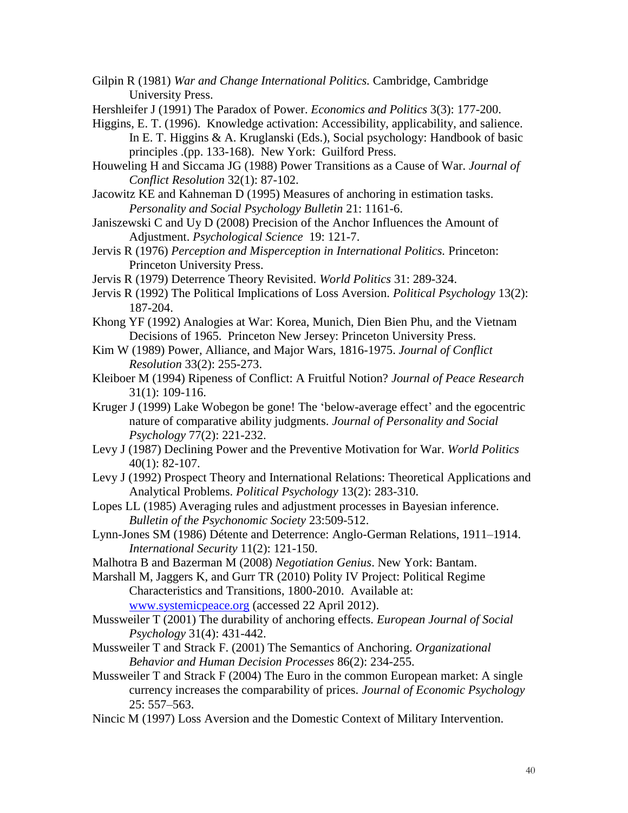Gilpin R (1981) *War and Change International Politics.* Cambridge, Cambridge University Press.

Hershleifer J (1991) The Paradox of Power. *Economics and Politics* 3(3): 177-200.

Higgins, E. T. (1996). Knowledge activation: Accessibility, applicability, and salience. In E. T. Higgins & A. Kruglanski (Eds.), Social psychology: Handbook of basic principles .(pp. 133-168). New York: Guilford Press.

- Houweling H and Siccama JG (1988) Power Transitions as a Cause of War. *Journal of Conflict Resolution* 32(1): 87-102.
- Jacowitz KE and Kahneman D (1995) Measures of anchoring in estimation tasks. *Personality and Social Psychology Bulletin* 21: 1161-6.
- Janiszewski C and Uy D (2008) Precision of the Anchor Influences the Amount of Adjustment. *Psychological Science* 19: 121-7.
- Jervis R (1976) *Perception and Misperception in International Politics.* Princeton: Princeton University Press.

Jervis R (1979) Deterrence Theory Revisited. *World Politics* 31: 289-324.

- Jervis R (1992) The Political Implications of Loss Aversion. *Political Psychology* 13(2): 187-204.
- Khong YF (1992) Analogies at War: Korea, Munich, Dien Bien Phu, and the Vietnam Decisions of 1965. Princeton New Jersey: Princeton University Press.
- Kim W (1989) Power, Alliance, and Major Wars, 1816-1975. *Journal of Conflict Resolution* 33(2): 255-273.
- Kleiboer M (1994) Ripeness of Conflict: A Fruitful Notion? *Journal of Peace Research* 31(1): 109-116.
- Kruger J (1999) Lake Wobegon be gone! The 'below-average effect' and the egocentric nature of comparative ability judgments. *Journal of Personality and Social Psychology* 77(2): 221-232.
- Levy J (1987) Declining Power and the Preventive Motivation for War. *World Politics* 40(1): 82-107.
- Levy J (1992) Prospect Theory and International Relations: Theoretical Applications and Analytical Problems. *Political Psychology* 13(2): 283-310.
- Lopes LL (1985) Averaging rules and adjustment processes in Bayesian inference. *Bulletin of the Psychonomic Society* 23:509-512.
- Lynn-Jones SM (1986) Détente and Deterrence: Anglo-German Relations, 1911–1914. *International Security* 11(2): 121-150.
- Malhotra B and Bazerman M (2008) *Negotiation Genius*. New York: Bantam.
- Marshall M, Jaggers K, and Gurr TR (2010) Polity IV Project: Political Regime Characteristics and Transitions, 1800-2010. Available at: [www.systemicpeace.org](http://www.systemicpeace.org/) (accessed 22 April 2012).
- Mussweiler T (2001) The durability of anchoring effects. *European Journal of Social Psychology* 31(4): 431-442.
- Mussweiler T and Strack F. (2001) The Semantics of Anchoring. *Organizational Behavior and Human Decision Processes* 86(2): 234-255.
- Mussweiler T and Strack F (2004) The Euro in the common European market: A single currency increases the comparability of prices. *Journal of Economic Psychology* 25: 557–563.
- Nincic M (1997) Loss Aversion and the Domestic Context of Military Intervention.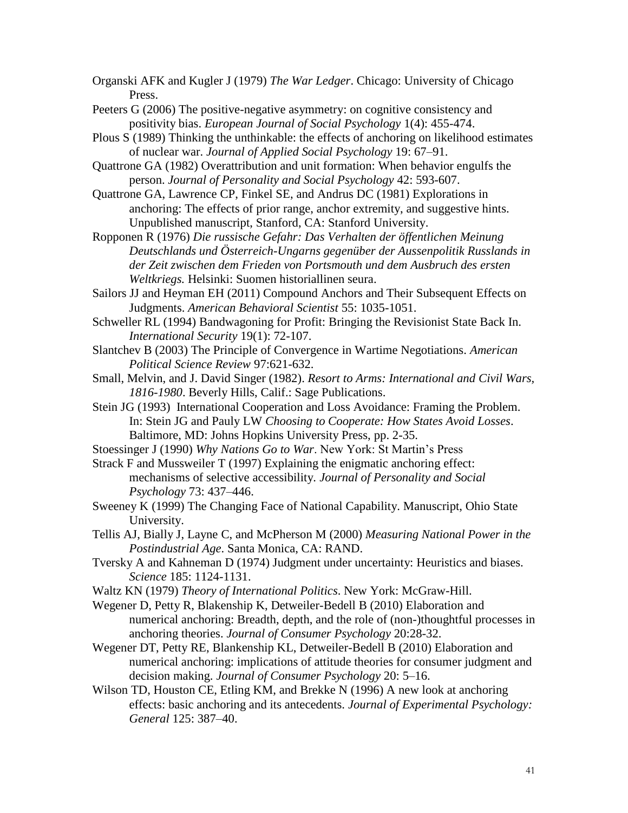Organski AFK and Kugler J (1979) *The War Ledger*. Chicago: University of Chicago Press.

- Peeters G (2006) The positive-negative asymmetry: on cognitive consistency and positivity bias. *European Journal of Social Psychology* 1(4): 455-474.
- Plous S (1989) Thinking the unthinkable: the effects of anchoring on likelihood estimates of nuclear war. *Journal of Applied Social Psychology* 19: 67–91.

Quattrone GA (1982) Overattribution and unit formation: When behavior engulfs the person. *Journal of Personality and Social Psychology* 42: 593-607.

Quattrone GA, Lawrence CP, Finkel SE, and Andrus DC (1981) Explorations in anchoring: The effects of prior range, anchor extremity, and suggestive hints. Unpublished manuscript, Stanford, CA: Stanford University.

Ropponen R (1976) *Die russische Gefahr: Das Verhalten der öffentlichen Meinung Deutschlands und Österreich-Ungarns gegenüber der Aussenpolitik Russlands in der Zeit zwischen dem Frieden von Portsmouth und dem Ausbruch des ersten Weltkriegs.* Helsinki: Suomen historiallinen seura.

Sailors JJ and Heyman EH (2011) Compound Anchors and Their Subsequent Effects on Judgments. *American Behavioral Scientist* 55: 1035-1051.

Schweller RL (1994) Bandwagoning for Profit: Bringing the Revisionist State Back In. *International Security* 19(1): 72-107.

Slantchev B (2003) The Principle of Convergence in Wartime Negotiations. *American Political Science Review* 97:621-632.

Small, Melvin, and J. David Singer (1982). *Resort to Arms: International and Civil Wars, 1816-1980*. Beverly Hills, Calif.: Sage Publications.

Stein JG (1993) International Cooperation and Loss Avoidance: Framing the Problem. In: Stein JG and Pauly LW *Choosing to Cooperate: How States Avoid Losses*. Baltimore, MD: Johns Hopkins University Press, pp. 2-35.

Stoessinger J (1990) *Why Nations Go to War*. New York: St Martin's Press

Strack F and Mussweiler T (1997) Explaining the enigmatic anchoring effect: mechanisms of selective accessibility. *Journal of Personality and Social Psychology* 73: 437–446.

Sweeney K (1999) The Changing Face of National Capability. Manuscript, Ohio State University.

Tellis AJ, Bially J, Layne C, and McPherson M (2000) *Measuring National Power in the Postindustrial Age*. Santa Monica, CA: RAND.

Tversky A and Kahneman D (1974) Judgment under uncertainty: Heuristics and biases. *Science* 185: 1124-1131.

Waltz KN (1979) *Theory of International Politics*. New York: McGraw-Hill.

Wegener D, Petty R, Blakenship K, Detweiler-Bedell B (2010) Elaboration and numerical anchoring: Breadth, depth, and the role of (non-)thoughtful processes in anchoring theories. *Journal of Consumer Psychology* 20:28-32.

Wegener DT, Petty RE, Blankenship KL, Detweiler-Bedell B (2010) Elaboration and numerical anchoring: implications of attitude theories for consumer judgment and decision making. *Journal of Consumer Psychology* 20: 5–16.

Wilson TD, Houston CE, Etling KM, and Brekke N (1996) A new look at anchoring effects: basic anchoring and its antecedents. *Journal of Experimental Psychology: General* 125: 387–40.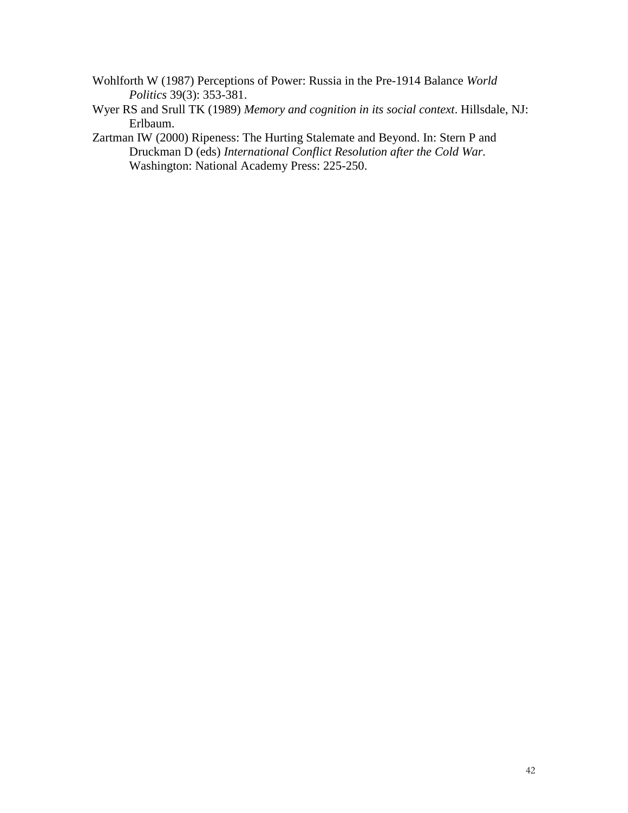- Wohlforth W (1987) Perceptions of Power: Russia in the Pre-1914 Balance *World Politics* 39(3): 353-381.
- Wyer RS and Srull TK (1989) *Memory and cognition in its social context*. Hillsdale, NJ: Erlbaum.
- Zartman IW (2000) Ripeness: The Hurting Stalemate and Beyond. In: Stern P and Druckman D (eds) *International Conflict Resolution after the Cold War.*  Washington: National Academy Press: 225-250.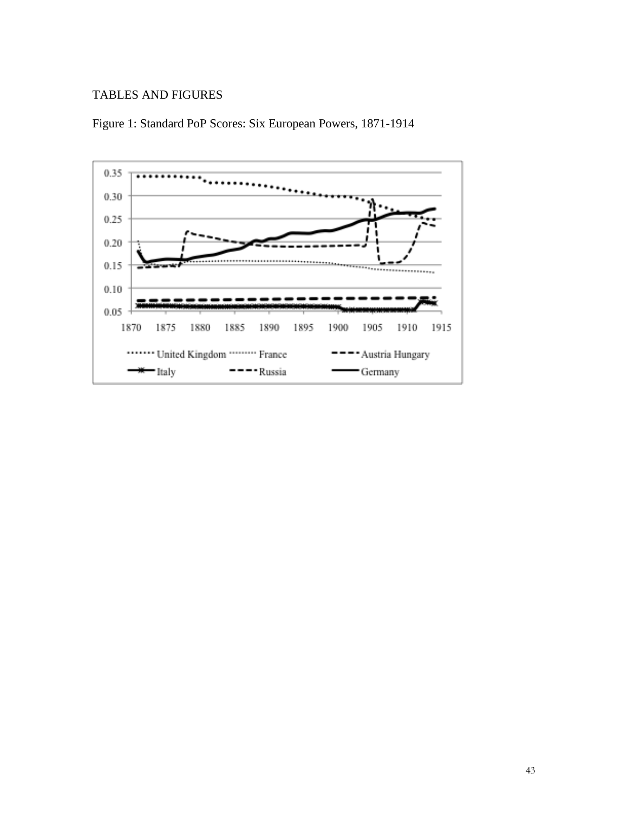# TABLES AND FIGURES



Figure 1: Standard PoP Scores: Six European Powers, 1871-1914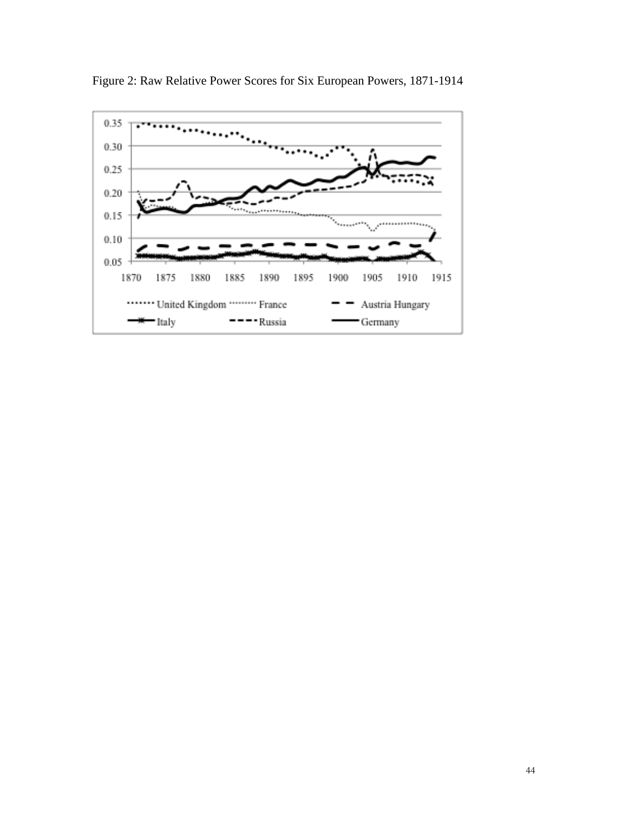

Figure 2: Raw Relative Power Scores for Six European Powers, 1871-1914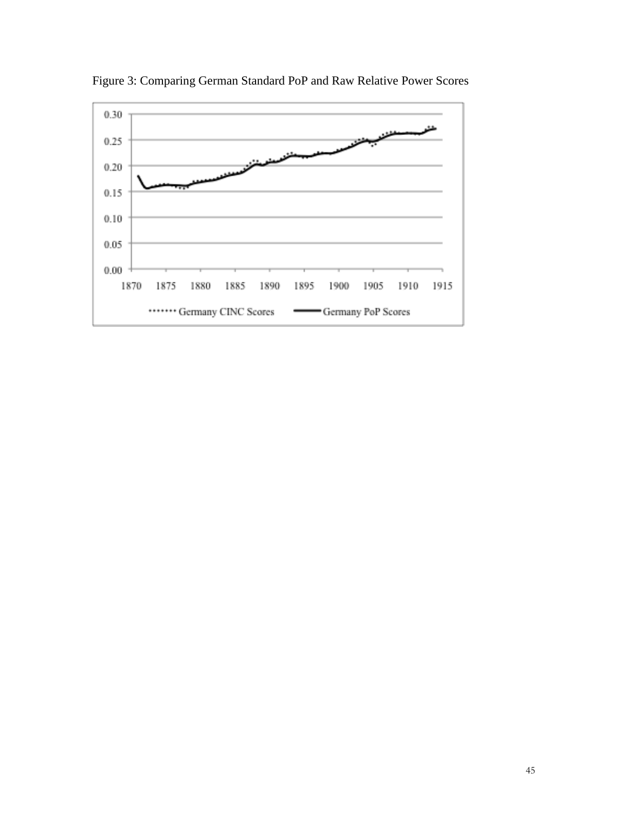

Figure 3: Comparing German Standard PoP and Raw Relative Power Scores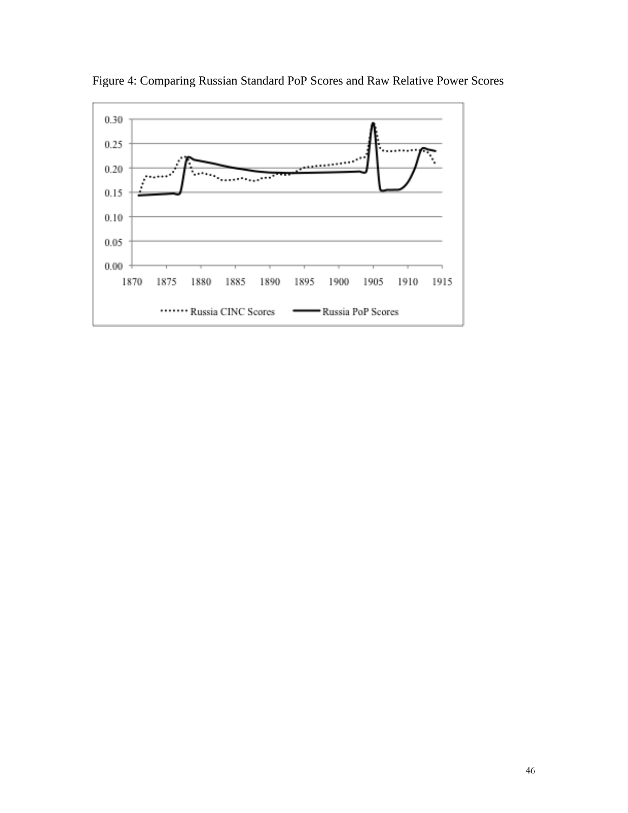

Figure 4: Comparing Russian Standard PoP Scores and Raw Relative Power Scores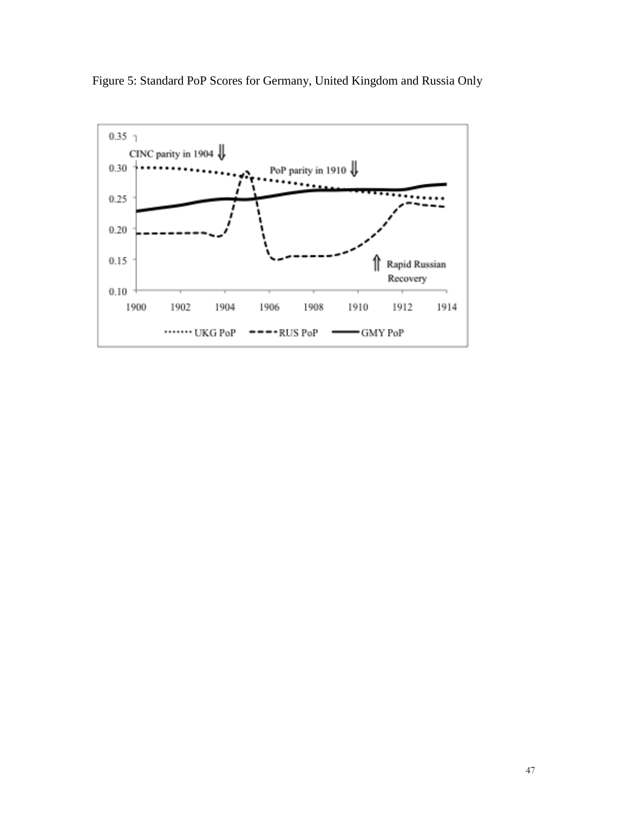

Figure 5: Standard PoP Scores for Germany, United Kingdom and Russia Only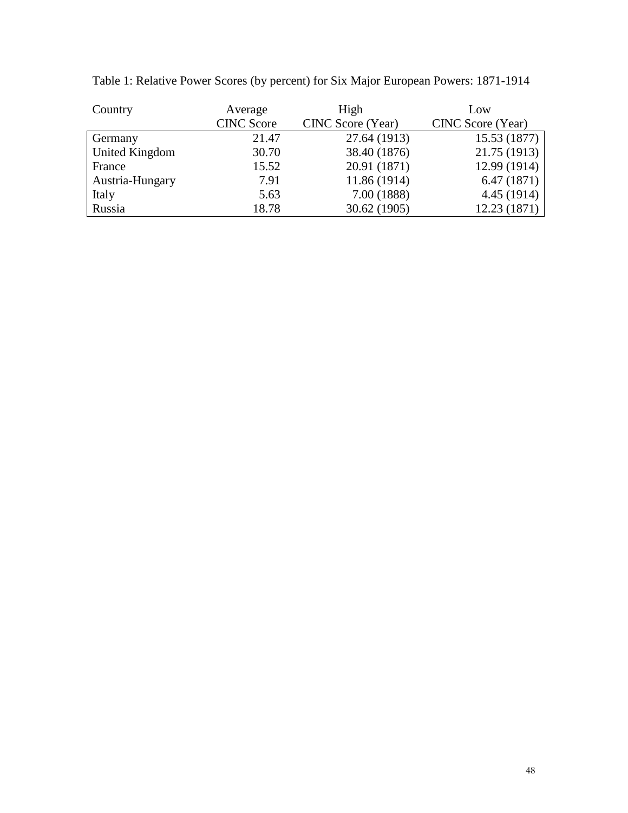| Country         | Average           | High              | Low               |
|-----------------|-------------------|-------------------|-------------------|
|                 | <b>CINC Score</b> | CINC Score (Year) | CINC Score (Year) |
| Germany         | 21.47             | 27.64 (1913)      | 15.53 (1877)      |
| United Kingdom  | 30.70             | 38.40 (1876)      | 21.75 (1913)      |
| France          | 15.52             | 20.91 (1871)      | 12.99 (1914)      |
| Austria-Hungary | 7.91              | 11.86 (1914)      | 6.47(1871)        |
| Italy           | 5.63              | 7.00 (1888)       | 4.45 (1914)       |
| Russia          | 18.78             | 30.62 (1905)      | 12.23 (1871)      |

Table 1: Relative Power Scores (by percent) for Six Major European Powers: 1871-1914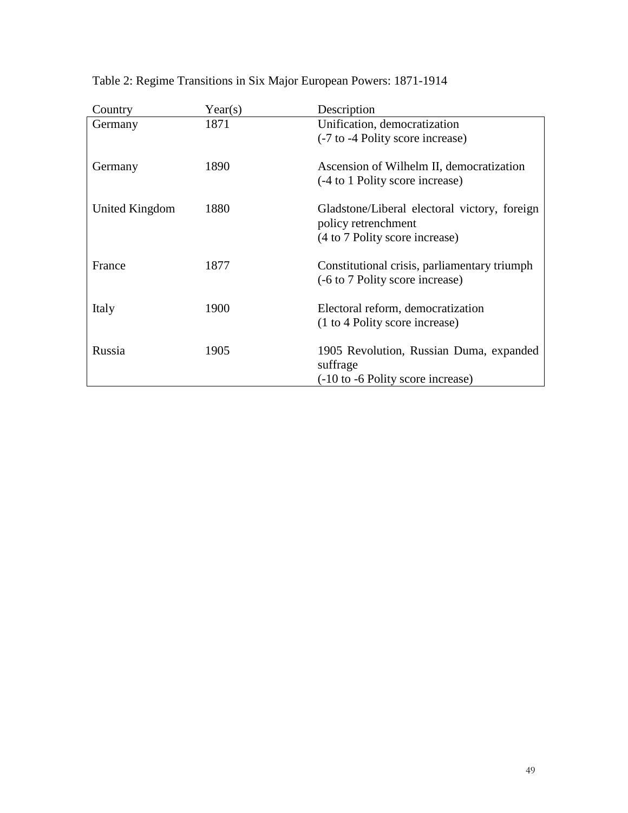| Country        | Year(s) | Description                                  |
|----------------|---------|----------------------------------------------|
| Germany        | 1871    | Unification, democratization                 |
|                |         | (-7 to -4 Polity score increase)             |
| Germany        | 1890    | Ascension of Wilhelm II, democratization     |
|                |         | (-4 to 1 Polity score increase)              |
| United Kingdom | 1880    | Gladstone/Liberal electoral victory, foreign |
|                |         | policy retrenchment                          |
|                |         | (4 to 7 Polity score increase)               |
| France         | 1877    | Constitutional crisis, parliamentary triumph |
|                |         | (-6 to 7 Polity score increase)              |
| Italy          | 1900    | Electoral reform, democratization            |
|                |         | (1 to 4 Polity score increase)               |
| Russia         | 1905    | 1905 Revolution, Russian Duma, expanded      |
|                |         | suffrage                                     |
|                |         | (-10 to -6 Polity score increase)            |

Table 2: Regime Transitions in Six Major European Powers: 1871-1914